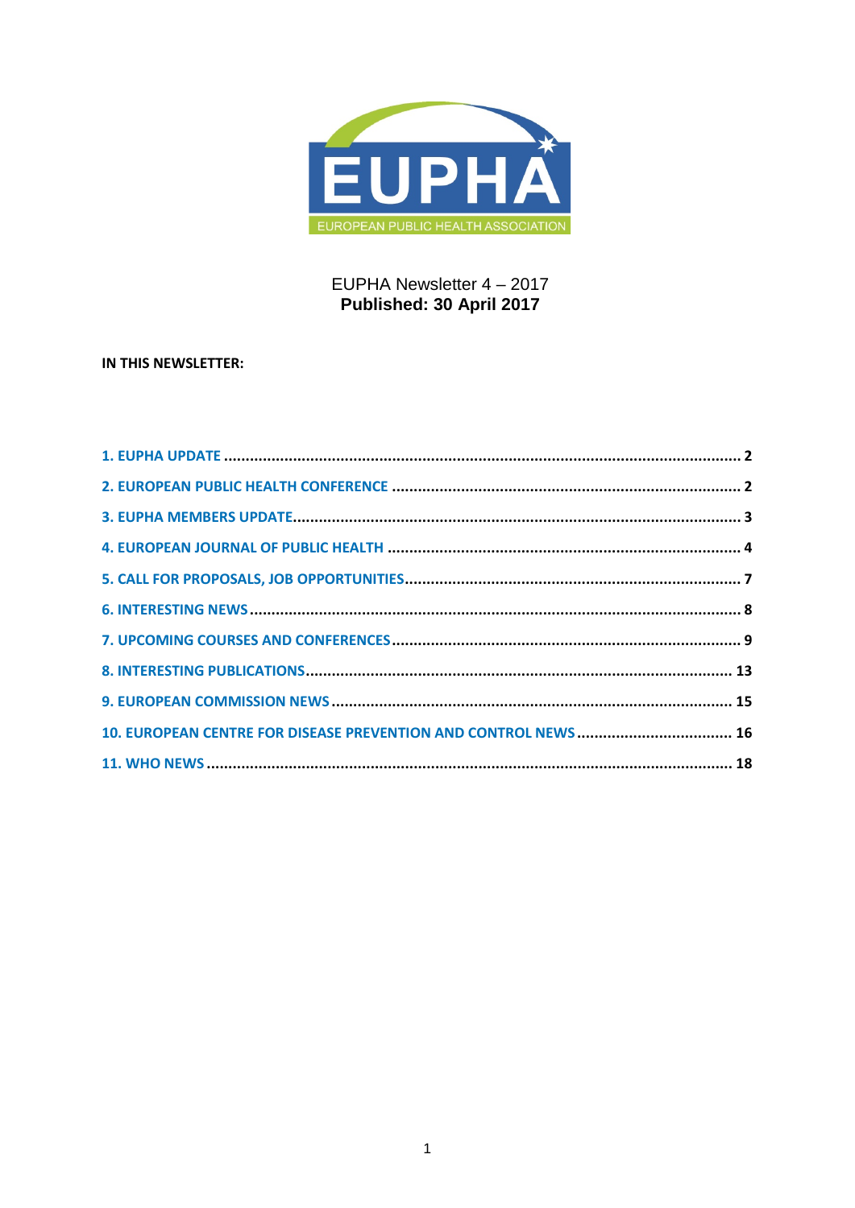

# EUPHA Newsletter 4 - 2017 Published: 30 April 2017

# IN THIS NEWSLETTER: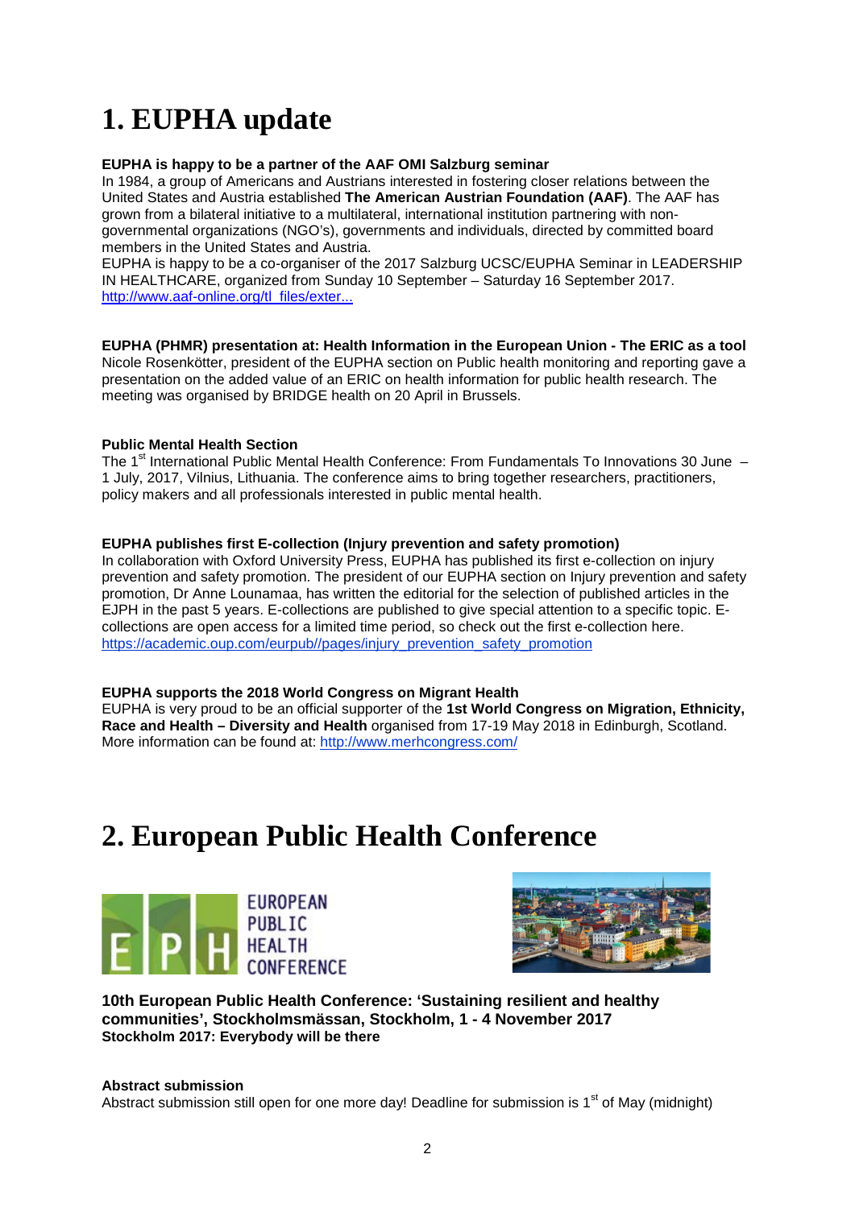# <span id="page-1-0"></span>**1. EUPHA update**

### **EUPHA is happy to be a partner of the AAF OMI Salzburg seminar**

In 1984, a group of Americans and Austrians interested in fostering closer relations between the United States and Austria established **The American Austrian Foundation (AAF)**. The AAF has grown from a bilateral initiative to a multilateral, international institution partnering with nongovernmental organizations (NGO's), governments and individuals, directed by committed board members in the United States and Austria.

EUPHA is happy to be a co-organiser of the 2017 Salzburg UCSC/EUPHA Seminar in LEADERSHIP IN HEALTHCARE, organized from Sunday 10 September – Saturday 16 September 2017. [http://www.aaf-online.org/tl\\_files/exter...](http://www.aaf-online.org/tl_files/externals/downloads/seminars/docs/docs_2017/Leadership%20in%20Healthcare%20Schedule%202017.pdf)

**EUPHA (PHMR) presentation at: Health Information in the European Union - The ERIC as a tool** Nicole Rosenkötter, president of the EUPHA section on Public health monitoring and reporting gave a presentation on the added value of an ERIC on health information for public health research. The meeting was organised by BRIDGE health on 20 April in Brussels.

#### **Public Mental Health Section**

The 1<sup>st</sup> International Public Mental Health Conference: From Fundamentals To Innovations 30 June – 1 July, 2017, Vilnius, Lithuania. The conference aims to bring together researchers, practitioners, policy makers and all professionals interested in public mental health.

#### **EUPHA publishes first E-collection (Injury prevention and safety promotion)**

In collaboration with Oxford University Press, EUPHA has published its first e-collection on injury prevention and safety promotion. The president of our EUPHA section on Injury prevention and safety promotion, Dr Anne Lounamaa, has written the editorial for the selection of published articles in the EJPH in the past 5 years. E-collections are published to give special attention to a specific topic. Ecollections are open access for a limited time period, so check out the first e-collection here. [https://academic.oup.com/eurpub//pages/injury\\_prevention\\_safety\\_promotion](https://academic.oup.com/eurpub/pages/injury_prevention_safety_promotion)

#### **EUPHA supports the 2018 World Congress on Migrant Health**

EUPHA is very proud to be an official supporter of the **1st World Congress on Migration, Ethnicity, Race and Health – Diversity and Health** organised from 17-19 May 2018 in Edinburgh, Scotland. More information can be found at:<http://www.merhcongress.com/>

# <span id="page-1-1"></span>**2. European Public Health Conference**





**10th European Public Health Conference: 'Sustaining resilient and healthy communities', Stockholmsmässan, Stockholm, 1 - 4 November 2017 Stockholm 2017: Everybody will be there** 

#### **Abstract submission**

Abstract submission still open for one more day! Deadline for submission is  $1<sup>st</sup>$  of May (midnight)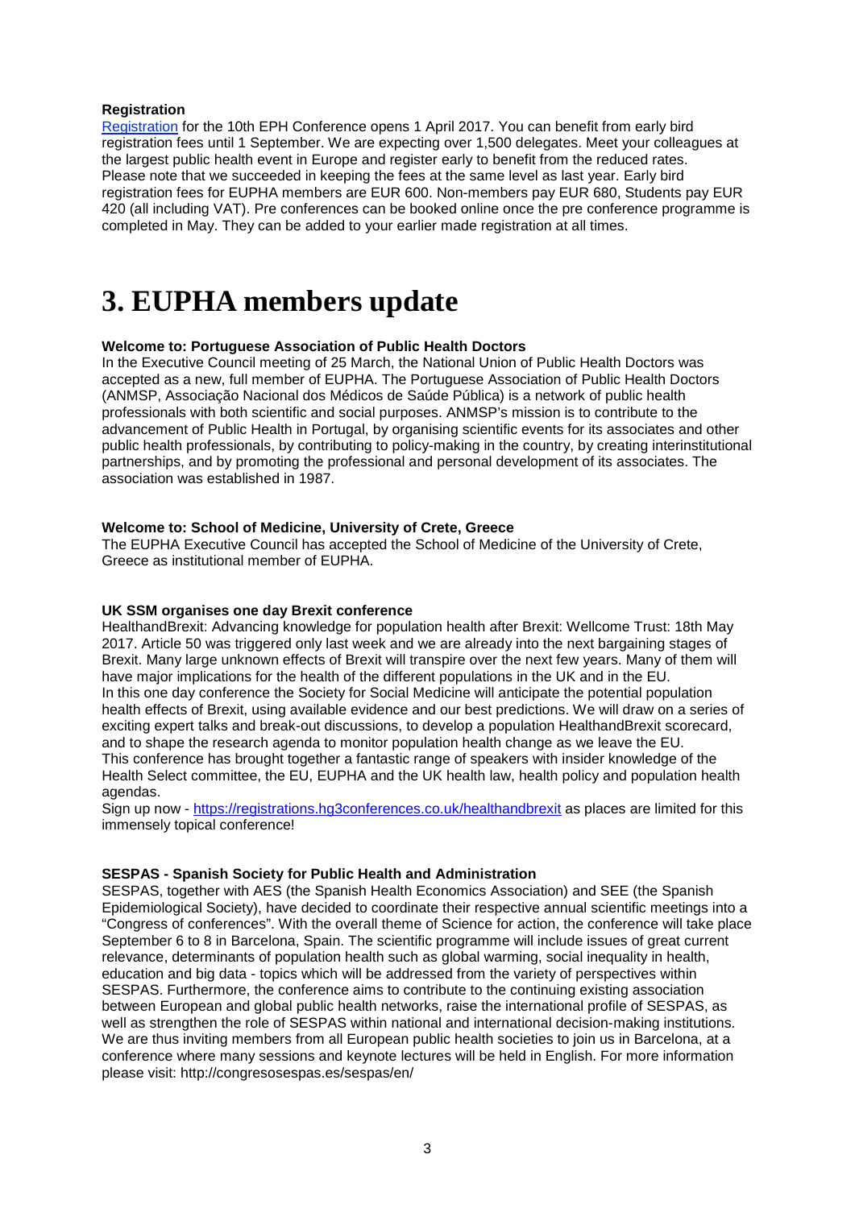#### **Registration**

[Registration](https://ephconference.eu/registration-fees-and-information-20) for the 10th EPH Conference opens 1 April 2017. You can benefit from early bird registration fees until 1 September. We are expecting over 1,500 delegates. Meet your colleagues at the largest public health event in Europe and register early to benefit from the reduced rates. Please note that we succeeded in keeping the fees at the same level as last year. Early bird registration fees for EUPHA members are EUR 600. Non-members pay EUR 680, Students pay EUR 420 (all including VAT). Pre conferences can be booked online once the pre conference programme is completed in May. They can be added to your earlier made registration at all times.

# <span id="page-2-0"></span>**3. EUPHA members update**

# **Welcome to: Portuguese Association of Public Health Doctors**

In the Executive Council meeting of 25 March, the National Union of Public Health Doctors was accepted as a new, full member of EUPHA. The Portuguese Association of Public Health Doctors (ANMSP, Associação Nacional dos Médicos de Saúde Pública) is a network of public health professionals with both scientific and social purposes. ANMSP's mission is to contribute to the advancement of Public Health in Portugal, by organising scientific events for its associates and other public health professionals, by contributing to policy-making in the country, by creating interinstitutional partnerships, and by promoting the professional and personal development of its associates. The association was established in 1987.

#### **Welcome to: School of Medicine, University of Crete, Greece**

The EUPHA Executive Council has accepted the School of Medicine of the University of Crete, Greece as institutional member of EUPHA.

#### **UK SSM organises one day Brexit conference**

HealthandBrexit: Advancing knowledge for population health after Brexit: Wellcome Trust: 18th May 2017. Article 50 was triggered only last week and we are already into the next bargaining stages of Brexit. Many large unknown effects of Brexit will transpire over the next few years. Many of them will have major implications for the health of the different populations in the UK and in the EU. In this one day conference the Society for Social Medicine will anticipate the potential population health effects of Brexit, using available evidence and our best predictions. We will draw on a series of exciting expert talks and break-out discussions, to develop a population HealthandBrexit scorecard, and to shape the research agenda to monitor population health change as we leave the EU. This conference has brought together a fantastic range of speakers with insider knowledge of the Health Select committee, the EU, EUPHA and the UK health law, health policy and population health agendas.

Sign up now - [https://registrations.hg3conferences.co.uk/healthandbrexit](http://euphapedia.eupha.org/newsletter/https:/registrations.hg3conferences.co.uk/healthandbrexit) as places are limited for this immensely topical conference!

#### **SESPAS - Spanish Society for Public Health and Administration**

SESPAS, together with AES (the Spanish Health Economics Association) and SEE (the Spanish Epidemiological Society), have decided to coordinate their respective annual scientific meetings into a "Congress of conferences". With the overall theme of Science for action, the conference will take place September 6 to 8 in Barcelona, Spain. The scientific programme will include issues of great current relevance, determinants of population health such as global warming, social inequality in health, education and big data - topics which will be addressed from the variety of perspectives within SESPAS. Furthermore, the conference aims to contribute to the continuing existing association between European and global public health networks, raise the international profile of SESPAS, as well as strengthen the role of SESPAS within national and international decision-making institutions. We are thus inviting members from all European public health societies to join us in Barcelona, at a conference where many sessions and keynote lectures will be held in English. For more information please visit: http://congresosespas.es/sespas/en/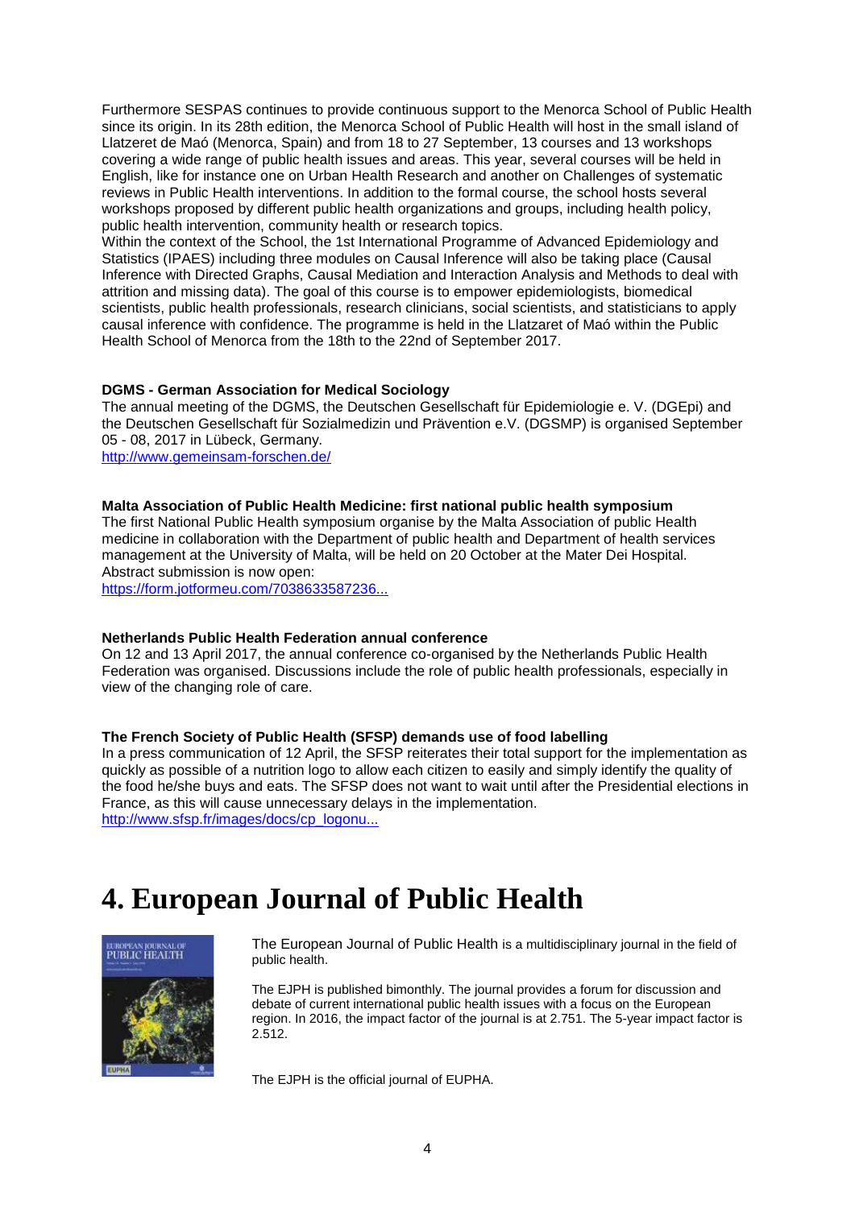Furthermore SESPAS continues to provide continuous support to the Menorca School of Public Health since its origin. In its 28th edition, the Menorca School of Public Health will host in the small island of Llatzeret de Maó (Menorca, Spain) and from 18 to 27 September, 13 courses and 13 workshops covering a wide range of public health issues and areas. This year, several courses will be held in English, like for instance one on Urban Health Research and another on Challenges of systematic reviews in Public Health interventions. In addition to the formal course, the school hosts several workshops proposed by different public health organizations and groups, including health policy, public health intervention, community health or research topics.

Within the context of the School, the 1st International Programme of Advanced Epidemiology and Statistics (IPAES) including three modules on Causal Inference will also be taking place (Causal Inference with Directed Graphs, Causal Mediation and Interaction Analysis and Methods to deal with attrition and missing data). The goal of this course is to empower epidemiologists, biomedical scientists, public health professionals, research clinicians, social scientists, and statisticians to apply causal inference with confidence. The programme is held in the Llatzaret of Maó within the Public Health School of Menorca from the 18th to the 22nd of September 2017.

#### **DGMS - German Association for Medical Sociology**

The annual meeting of the DGMS, the Deutschen Gesellschaft für Epidemiologie e. V. (DGEpi) and the Deutschen Gesellschaft für Sozialmedizin und Prävention e.V. (DGSMP) is organised September 05 - 08, 2017 in Lübeck, Germany.

<http://www.gemeinsam-forschen.de/>

#### **Malta Association of Public Health Medicine: first national public health symposium**

The first National Public Health symposium organise by the Malta Association of public Health medicine in collaboration with the Department of public health and Department of health services management at the University of Malta, will be held on 20 October at the Mater Dei Hospital. Abstract submission is now open:

[https://form.jotformeu.com/7038633587236...](http://euphapedia.eupha.org/newsletter/https:/form.jotformeu.com/70386335872362)

#### **Netherlands Public Health Federation annual conference**

On 12 and 13 April 2017, the annual conference co-organised by the Netherlands Public Health Federation was organised. Discussions include the role of public health professionals, especially in view of the changing role of care.

#### **The French Society of Public Health (SFSP) demands use of food labelling**

In a press communication of 12 April, the SFSP reiterates their total support for the implementation as quickly as possible of a nutrition logo to allow each citizen to easily and simply identify the quality of the food he/she buys and eats. The SFSP does not want to wait until after the Presidential elections in France, as this will cause unnecessary delays in the implementation. [http://www.sfsp.fr/images/docs/cp\\_logonu...](http://www.sfsp.fr/images/docs/cp_logonutscore_04-17.pdf)

# <span id="page-3-0"></span>**4. European Journal of Public Health**



The European Journal of Public Health is a multidisciplinary journal in the field of public health.

The EJPH is published bimonthly. The journal provides a forum for discussion and debate of current international public health issues with a focus on the European region. In 2016, the impact factor of the journal is at 2.751. The 5-year impact factor is 2.512.

The EJPH is the official journal of EUPHA.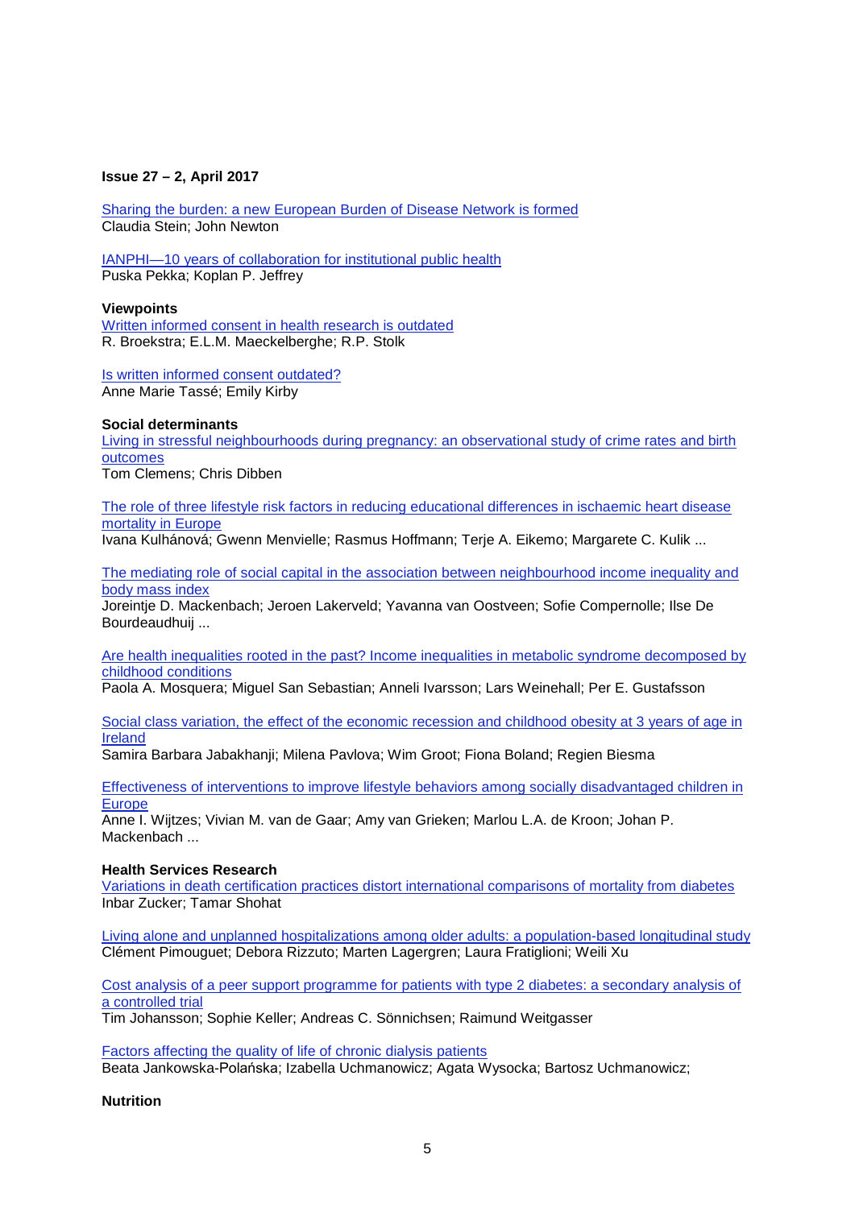#### **Issue 27 – 2, April 2017**

[Sharing the burden: a new European Burden of Disease Network is formed](https://academic.oup.com/eurpub/article/27/2/191/3091413/Sharing-the-burden-a-new-European-Burden-of) [Claudia Stein;](https://academic.oup.com/eurpub/search-results?f_Authors=Claudia+Stein) [John Newton](https://academic.oup.com/eurpub/search-results?f_Authors=John+Newton)

[IANPHI—10 years of collaboration for institutional public health](https://academic.oup.com/eurpub/article/27/2/192/3091414/IANPHI-10-years-of-collaboration-for-institutional) [Puska Pekka;](https://academic.oup.com/eurpub/search-results?f_Authors=Puska+Pekka) [Koplan P. Jeffrey](https://academic.oup.com/eurpub/search-results?f_Authors=Koplan+P.+Jeffrey)

#### **Viewpoints**

[Written informed consent in health research is outdated](https://academic.oup.com/eurpub/article/27/2/194/2450382/Written-informed-consent-in-health-research-is) [R. Broekstra;](https://academic.oup.com/eurpub/search-results?f_Authors=R.+Broekstra) [E.L.M. Maeckelberghe;](https://academic.oup.com/eurpub/search-results?f_Authors=E.L.M.+Maeckelberghe) [R.P. Stolk](https://academic.oup.com/eurpub/search-results?f_Authors=R.P.+Stolk)

[Is written informed consent outdated?](https://academic.oup.com/eurpub/article/27/2/195/3091407/Is-written-informed-consent-outdated) [Anne Marie Tassé;](https://academic.oup.com/eurpub/search-results?f_Authors=Anne+Marie+Tass%c3%a9) [Emily Kirby](https://academic.oup.com/eurpub/search-results?f_Authors=Emily+Kirby)

#### **Social determinants**

Living in stressful neighbourhoods during pregnancy: an observational study of crime rates and birth [outcomes](https://academic.oup.com/eurpub/article/27/2/197/2616513/Living-in-stressful-neighbourhoods-during) [Tom Clemens;](https://academic.oup.com/eurpub/search-results?f_Authors=Tom+Clemens) [Chris Dibben](https://academic.oup.com/eurpub/search-results?f_Authors=Chris+Dibben)

[The role of three lifestyle risk factors in reducing educational differences in ischaemic heart disease](https://academic.oup.com/eurpub/article/27/2/203/2616289/The-role-of-three-lifestyle-risk-factors-in)  [mortality in Europe](https://academic.oup.com/eurpub/article/27/2/203/2616289/The-role-of-three-lifestyle-risk-factors-in)

[Ivana Kulhánová;](https://academic.oup.com/eurpub/search-results?f_Authors=Ivana+Kulh%c3%a1nov%c3%a1) [Gwenn Menvielle;](https://academic.oup.com/eurpub/search-results?f_Authors=Gwenn+Menvielle) [Rasmus Hoffmann;](https://academic.oup.com/eurpub/search-results?f_Authors=Rasmus+Hoffmann) [Terje A. Eikemo;](https://academic.oup.com/eurpub/search-results?f_Authors=Terje+A.+Eikemo) [Margarete C. Kulik](https://academic.oup.com/eurpub/search-results?f_Authors=Margarete+C.+Kulik) ...

[The mediating role of social capital in the association between neighbourhood income inequality and](https://academic.oup.com/eurpub/article/27/2/218/2616602/The-mediating-role-of-social-capital-in-the)  [body mass index](https://academic.oup.com/eurpub/article/27/2/218/2616602/The-mediating-role-of-social-capital-in-the)

[Joreintje D. Mackenbach;](https://academic.oup.com/eurpub/search-results?f_Authors=Joreintje+D.+Mackenbach) [Jeroen Lakerveld;](https://academic.oup.com/eurpub/search-results?f_Authors=Jeroen+Lakerveld) [Yavanna van Oostveen;](https://academic.oup.com/eurpub/search-results?f_Authors=Yavanna+van+Oostveen) [Sofie Compernolle;](https://academic.oup.com/eurpub/search-results?f_Authors=Sofie+Compernolle) [Ilse De](https://academic.oup.com/eurpub/search-results?f_Authors=Ilse+De+Bourdeaudhuij)  [Bourdeaudhuij](https://academic.oup.com/eurpub/search-results?f_Authors=Ilse+De+Bourdeaudhuij) ...

[Are health inequalities rooted in the past? Income inequalities in metabolic syndrome decomposed by](https://academic.oup.com/eurpub/article/27/2/223/2416065/Are-health-inequalities-rooted-in-the-past-Income)  [childhood conditions](https://academic.oup.com/eurpub/article/27/2/223/2416065/Are-health-inequalities-rooted-in-the-past-Income)

[Paola A. Mosquera;](https://academic.oup.com/eurpub/search-results?f_Authors=Paola+A.+Mosquera) [Miguel San Sebastian;](https://academic.oup.com/eurpub/search-results?f_Authors=Miguel+San+Sebastian) [Anneli Ivarsson;](https://academic.oup.com/eurpub/search-results?f_Authors=Anneli+Ivarsson) [Lars Weinehall;](https://academic.oup.com/eurpub/search-results?f_Authors=Lars+Weinehall) [Per E. Gustafsson](https://academic.oup.com/eurpub/search-results?f_Authors=Per+E.+Gustafsson)

[Social class variation, the effect of the economic recession and childhood obesity at 3 years of age in](https://academic.oup.com/eurpub/article/27/2/234/2929356/Social-class-variation-the-effect-of-the-economic)  [Ireland](https://academic.oup.com/eurpub/article/27/2/234/2929356/Social-class-variation-the-effect-of-the-economic)

[Samira Barbara Jabakhanji;](https://academic.oup.com/eurpub/search-results?f_Authors=Samira+Barbara+Jabakhanji) [Milena Pavlova;](https://academic.oup.com/eurpub/search-results?f_Authors=Milena+Pavlova) [Wim Groot;](https://academic.oup.com/eurpub/search-results?f_Authors=Wim+Groot) [Fiona Boland;](https://academic.oup.com/eurpub/search-results?f_Authors=Fiona+Boland) [Regien Biesma](https://academic.oup.com/eurpub/search-results?f_Authors=Regien+Biesma)

[Effectiveness of interventions to improve lifestyle behaviors among socially disadvantaged children in](https://academic.oup.com/eurpub/article/27/2/240/3091392/Effectiveness-of-interventions-to-improve)  [Europe](https://academic.oup.com/eurpub/article/27/2/240/3091392/Effectiveness-of-interventions-to-improve)

[Anne I. Wijtzes;](https://academic.oup.com/eurpub/search-results?f_Authors=Anne+I.+Wijtzes) [Vivian M. van de Gaar;](https://academic.oup.com/eurpub/search-results?f_Authors=Vivian+M.+van+de+Gaar) [Amy van Grieken;](https://academic.oup.com/eurpub/search-results?f_Authors=Amy+van+Grieken) [Marlou L.A. de Kroon;](https://academic.oup.com/eurpub/search-results?f_Authors=Marlou+L.A.+de+Kroon) [Johan P.](https://academic.oup.com/eurpub/search-results?f_Authors=Johan+P.+Mackenbach)  [Mackenbach](https://academic.oup.com/eurpub/search-results?f_Authors=Johan+P.+Mackenbach) ...

#### **Health Services Research**

[Variations in death certification practices distort international comparisons of mortality from diabetes](https://academic.oup.com/eurpub/article/27/2/247/2616502/Variations-in-death-certification-practices) [Inbar Zucker;](https://academic.oup.com/eurpub/search-results?f_Authors=Inbar+Zucker) [Tamar Shohat](https://academic.oup.com/eurpub/search-results?f_Authors=Tamar+Shohat)

[Living alone and unplanned hospitalizations among older adults: a population-based longitudinal study](https://academic.oup.com/eurpub/article/27/2/251/2418058/Living-alone-and-unplanned-hospitalizations-among) [Clément Pimouguet;](https://academic.oup.com/eurpub/search-results?f_Authors=Cl%c3%a9ment+Pimouguet) [Debora Rizzuto;](https://academic.oup.com/eurpub/search-results?f_Authors=Debora+Rizzuto) [Marten Lagergren;](https://academic.oup.com/eurpub/search-results?f_Authors=Marten+Lagergren) [Laura Fratiglioni;](https://academic.oup.com/eurpub/search-results?f_Authors=Laura+Fratiglioni) [Weili Xu](https://academic.oup.com/eurpub/search-results?f_Authors=Weili+Xu)

[Cost analysis of a peer support programme for patients with type 2 diabetes: a secondary analysis of](https://academic.oup.com/eurpub/article/27/2/256/2616619/Cost-analysis-of-a-peer-support-programme-for)  [a controlled trial](https://academic.oup.com/eurpub/article/27/2/256/2616619/Cost-analysis-of-a-peer-support-programme-for)

[Tim Johansson;](https://academic.oup.com/eurpub/search-results?f_Authors=Tim+Johansson) [Sophie Keller;](https://academic.oup.com/eurpub/search-results?f_Authors=Sophie+Keller) [Andreas C. Sönnichsen;](https://academic.oup.com/eurpub/search-results?f_Authors=Andreas+C.+S%c3%b6nnichsen) [Raimund Weitgasser](https://academic.oup.com/eurpub/search-results?f_Authors=Raimund+Weitgasser)

[Factors affecting the quality of life of chronic dialysis patients](https://academic.oup.com/eurpub/article/27/2/262/2422090/Factors-affecting-the-quality-of-life-of-chronic) [Beata Jankowska-](https://academic.oup.com/eurpub/search-results?f_Authors=Beata+Jankowska-Pola%c5%84ska)Polańska; [Izabella Uchmanowicz;](https://academic.oup.com/eurpub/search-results?f_Authors=Izabella+Uchmanowicz) [Agata Wysocka;](https://academic.oup.com/eurpub/search-results?f_Authors=Agata+Wysocka) [Bartosz Uchmanowicz;](https://academic.oup.com/eurpub/search-results?f_Authors=Bartosz+Uchmanowicz) 

#### **Nutrition**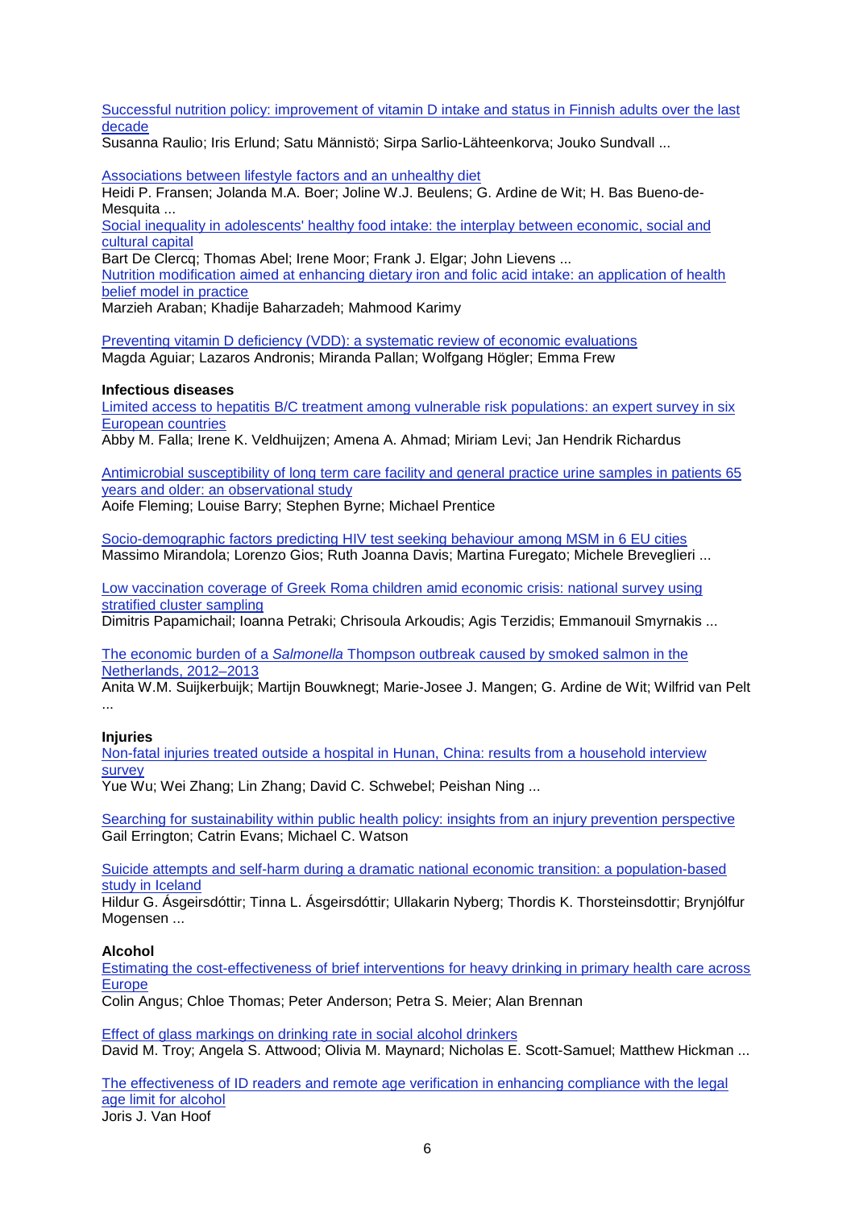[Successful nutrition policy: improvement of vitamin D intake and status in Finnish adults over the last](https://academic.oup.com/eurpub/article/27/2/268/2670162/Successful-nutrition-policy-improvement-of-vitamin)  [decade](https://academic.oup.com/eurpub/article/27/2/268/2670162/Successful-nutrition-policy-improvement-of-vitamin)

[Susanna Raulio;](https://academic.oup.com/eurpub/search-results?f_Authors=Susanna+Raulio) [Iris Erlund;](https://academic.oup.com/eurpub/search-results?f_Authors=Iris+Erlund) [Satu Männistö;](https://academic.oup.com/eurpub/search-results?f_Authors=Satu+M%c3%a4nnist%c3%b6) [Sirpa Sarlio-Lähteenkorva;](https://academic.oup.com/eurpub/search-results?f_Authors=Sirpa+Sarlio-L%c3%a4hteenkorva) [Jouko Sundvall](https://academic.oup.com/eurpub/search-results?f_Authors=Jouko+Sundvall) ...

[Associations between lifestyle factors and an unhealthy diet](https://academic.oup.com/eurpub/article/27/2/274/2418688/Associations-between-lifestyle-factors-and-an)

[Heidi P. Fransen;](https://academic.oup.com/eurpub/search-results?f_Authors=Heidi+P.+Fransen) [Jolanda M.A. Boer;](https://academic.oup.com/eurpub/search-results?f_Authors=Jolanda+M.A.+Boer) [Joline W.J. Beulens;](https://academic.oup.com/eurpub/search-results?f_Authors=Joline+W.J.+Beulens) [G. Ardine de Wit;](https://academic.oup.com/eurpub/search-results?f_Authors=G.+Ardine+de+Wit) [H. Bas Bueno-de-](https://academic.oup.com/eurpub/search-results?f_Authors=H.+Bas+Bueno-de-Mesquita)[Mesquita](https://academic.oup.com/eurpub/search-results?f_Authors=H.+Bas+Bueno-de-Mesquita) ...

[Social inequality in adolescents' healthy food intake: the interplay between economic, social and](https://academic.oup.com/eurpub/article/27/2/279/2769419/Social-inequality-in-adolescents-healthy-food)  [cultural capital](https://academic.oup.com/eurpub/article/27/2/279/2769419/Social-inequality-in-adolescents-healthy-food)

[Bart De Clercq;](https://academic.oup.com/eurpub/search-results?f_Authors=Bart+De+Clercq) [Thomas Abel;](https://academic.oup.com/eurpub/search-results?f_Authors=Thomas+Abel) [Irene Moor;](https://academic.oup.com/eurpub/search-results?f_Authors=Irene+Moor) [Frank J. Elgar;](https://academic.oup.com/eurpub/search-results?f_Authors=Frank+J.+Elgar) [John Lievens](https://academic.oup.com/eurpub/search-results?f_Authors=John+Lievens) ...

[Nutrition modification aimed at enhancing dietary iron and folic acid intake: an application of health](https://academic.oup.com/eurpub/article/27/2/287/2712550/Nutrition-modification-aimed-at-enhancing-dietary)  [belief model in practice](https://academic.oup.com/eurpub/article/27/2/287/2712550/Nutrition-modification-aimed-at-enhancing-dietary)

[Marzieh Araban;](https://academic.oup.com/eurpub/search-results?f_Authors=Marzieh+Araban) [Khadije Baharzadeh;](https://academic.oup.com/eurpub/search-results?f_Authors=Khadije+Baharzadeh) [Mahmood Karimy](https://academic.oup.com/eurpub/search-results?f_Authors=Mahmood+Karimy)

[Preventing vitamin D deficiency \(VDD\): a systematic review of economic evaluations](https://academic.oup.com/eurpub/article/27/2/292/2999698/Preventing-vitamin-D-deficiency-VDD-a-systematic) [Magda Aguiar;](https://academic.oup.com/eurpub/search-results?f_Authors=Magda+Aguiar) [Lazaros Andronis;](https://academic.oup.com/eurpub/search-results?f_Authors=Lazaros+Andronis) [Miranda Pallan;](https://academic.oup.com/eurpub/search-results?f_Authors=Miranda+Pallan) [Wolfgang Högler;](https://academic.oup.com/eurpub/search-results?f_Authors=Wolfgang+H%c3%b6gler) [Emma Frew](https://academic.oup.com/eurpub/search-results?f_Authors=Emma+Frew)

#### **Infectious diseases**

[Limited access to hepatitis B/C treatment among vulnerable risk populations: an expert survey in six](https://academic.oup.com/eurpub/article/27/2/302/2616282/Limited-access-to-hepatitis-B-C-treatment-among)  [European countries](https://academic.oup.com/eurpub/article/27/2/302/2616282/Limited-access-to-hepatitis-B-C-treatment-among)

[Abby M. Falla;](https://academic.oup.com/eurpub/search-results?f_Authors=Abby+M.+Falla) [Irene K. Veldhuijzen;](https://academic.oup.com/eurpub/search-results?f_Authors=Irene+K.+Veldhuijzen) [Amena A. Ahmad;](https://academic.oup.com/eurpub/search-results?f_Authors=Amena+A.+Ahmad) [Miriam Levi;](https://academic.oup.com/eurpub/search-results?f_Authors=Miriam+Levi) [Jan Hendrik Richardus](https://academic.oup.com/eurpub/search-results?f_Authors=Jan+Hendrik+Richardus)

[Antimicrobial susceptibility of long term care facility and general practice urine samples in patients 65](https://academic.oup.com/eurpub/article/27/2/307/2439480/Antimicrobial-susceptibility-of-long-term-care)  [years and older: an observational study](https://academic.oup.com/eurpub/article/27/2/307/2439480/Antimicrobial-susceptibility-of-long-term-care)

[Aoife Fleming;](https://academic.oup.com/eurpub/search-results?f_Authors=Aoife+Fleming) [Louise Barry;](https://academic.oup.com/eurpub/search-results?f_Authors=Louise+Barry) [Stephen Byrne;](https://academic.oup.com/eurpub/search-results?f_Authors=Stephen+Byrne) [Michael Prentice](https://academic.oup.com/eurpub/search-results?f_Authors=Michael+Prentice)

[Socio-demographic factors predicting HIV test seeking behaviour among MSM in 6 EU cities](https://academic.oup.com/eurpub/article/27/2/313/2616541/Socio-demographic-factors-predicting-HIV-test) [Massimo Mirandola;](https://academic.oup.com/eurpub/search-results?f_Authors=Massimo+Mirandola) [Lorenzo Gios;](https://academic.oup.com/eurpub/search-results?f_Authors=Lorenzo+Gios) [Ruth Joanna Davis;](https://academic.oup.com/eurpub/search-results?f_Authors=Ruth+Joanna+Davis) Martina [Furegato;](https://academic.oup.com/eurpub/search-results?f_Authors=Martina+Furegato) [Michele Breveglieri](https://academic.oup.com/eurpub/search-results?f_Authors=Michele+Breveglieri) ...

[Low vaccination coverage of Greek Roma children amid economic crisis: national survey using](https://academic.oup.com/eurpub/article/27/2/318/2616623/Low-vaccination-coverage-of-Greek-Roma-children)  [stratified cluster sampling](https://academic.oup.com/eurpub/article/27/2/318/2616623/Low-vaccination-coverage-of-Greek-Roma-children)

[Dimitris Papamichail;](https://academic.oup.com/eurpub/search-results?f_Authors=Dimitris+Papamichail) [Ioanna Petraki;](https://academic.oup.com/eurpub/search-results?f_Authors=Ioanna+Petraki) [Chrisoula Arkoudis;](https://academic.oup.com/eurpub/search-results?f_Authors=Chrisoula+Arkoudis) [Agis Terzidis;](https://academic.oup.com/eurpub/search-results?f_Authors=Agis+Terzidis) [Emmanouil Smyrnakis](https://academic.oup.com/eurpub/search-results?f_Authors=Emmanouil+Smyrnakis) ...

The economic burden of a *Salmonella* [Thompson outbreak caused by smoked salmon in the](https://academic.oup.com/eurpub/article/27/2/325/2528262/The-economic-burden-of-a-Salmonella-Thompson)  [Netherlands, 2012–2013](https://academic.oup.com/eurpub/article/27/2/325/2528262/The-economic-burden-of-a-Salmonella-Thompson)

Anita W.M. [Suijkerbuijk;](https://academic.oup.com/eurpub/search-results?f_Authors=Anita+W.M.+Suijkerbuijk) [Martijn Bouwknegt;](https://academic.oup.com/eurpub/search-results?f_Authors=Martijn+Bouwknegt) [Marie-Josee J. Mangen;](https://academic.oup.com/eurpub/search-results?f_Authors=Marie-Josee+J.+Mangen) [G. Ardine de Wit;](https://academic.oup.com/eurpub/search-results?f_Authors=G.+Ardine+de+Wit) [Wilfrid van Pelt](https://academic.oup.com/eurpub/search-results?f_Authors=Wilfrid+van+Pelt) ...

# **Injuries**

[Non-fatal injuries treated outside a hospital in Hunan, China: results from a household interview](https://academic.oup.com/eurpub/article/27/2/331/2616390/Non-fatal-injuries-treated-outside-a-hospital-in)  [survey](https://academic.oup.com/eurpub/article/27/2/331/2616390/Non-fatal-injuries-treated-outside-a-hospital-in)

[Yue Wu;](https://academic.oup.com/eurpub/search-results?f_Authors=Yue+Wu) [Wei Zhang;](https://academic.oup.com/eurpub/search-results?f_Authors=Wei+Zhang) [Lin Zhang;](https://academic.oup.com/eurpub/search-results?f_Authors=Lin+Zhang) [David C. Schwebel;](https://academic.oup.com/eurpub/search-results?f_Authors=David+C.+Schwebel) [Peishan Ning](https://academic.oup.com/eurpub/search-results?f_Authors=Peishan+Ning) ...

[Searching for sustainability within public health policy: insights from an injury prevention perspective](https://academic.oup.com/eurpub/article/27/2/334/2622410/Searching-for-sustainability-within-public-health) [Gail Errington;](https://academic.oup.com/eurpub/search-results?f_Authors=Gail+Errington) [Catrin Evans;](https://academic.oup.com/eurpub/search-results?f_Authors=Catrin+Evans) [Michael C. Watson](https://academic.oup.com/eurpub/search-results?f_Authors=Michael+C.+Watson)

[Suicide attempts and self-harm during a dramatic national economic transition: a population-based](https://academic.oup.com/eurpub/article/27/2/339/2622415/Suicide-attempts-and-self-harm-during-a-dramatic)  [study in Iceland](https://academic.oup.com/eurpub/article/27/2/339/2622415/Suicide-attempts-and-self-harm-during-a-dramatic)

[Hildur G. Ásgeirsdóttir;](https://academic.oup.com/eurpub/search-results?f_Authors=Hildur+G.+%c3%81sgeirsd%c3%b3ttir) [Tinna L. Ásgeirsdóttir;](https://academic.oup.com/eurpub/search-results?f_Authors=Tinna+L.+%c3%81sgeirsd%c3%b3ttir) [Ullakarin Nyberg;](https://academic.oup.com/eurpub/search-results?f_Authors=Ullakarin+Nyberg) [Thordis K. Thorsteinsdottir;](https://academic.oup.com/eurpub/search-results?f_Authors=Thordis+K.+Thorsteinsdottir) [Brynjólfur](https://academic.oup.com/eurpub/search-results?f_Authors=Brynj%c3%b3lfur+Mogensen)  [Mogensen](https://academic.oup.com/eurpub/search-results?f_Authors=Brynj%c3%b3lfur+Mogensen) ...

# **Alcohol**

[Estimating the cost-effectiveness of brief interventions for heavy drinking in primary health care across](https://academic.oup.com/eurpub/article/27/2/345/2622407/Estimating-the-cost-effectiveness-of-brief)  [Europe](https://academic.oup.com/eurpub/article/27/2/345/2622407/Estimating-the-cost-effectiveness-of-brief)

[Colin Angus;](https://academic.oup.com/eurpub/search-results?f_Authors=Colin+Angus) [Chloe Thomas;](https://academic.oup.com/eurpub/search-results?f_Authors=Chloe+Thomas) [Peter Anderson;](https://academic.oup.com/eurpub/search-results?f_Authors=Peter+Anderson) [Petra S. Meier;](https://academic.oup.com/eurpub/search-results?f_Authors=Petra+S.+Meier) [Alan Brennan](https://academic.oup.com/eurpub/search-results?f_Authors=Alan+Brennan)

[Effect of glass markings on drinking rate in social alcohol drinkers](https://academic.oup.com/eurpub/article/27/2/352/2433500/Effect-of-glass-markings-on-drinking-rate-in) [David M. Troy;](https://academic.oup.com/eurpub/search-results?f_Authors=David+M.+Troy) [Angela S. Attwood;](https://academic.oup.com/eurpub/search-results?f_Authors=Angela+S.+Attwood) [Olivia M. Maynard;](https://academic.oup.com/eurpub/search-results?f_Authors=Olivia+M.+Maynard) [Nicholas E. Scott-Samuel;](https://academic.oup.com/eurpub/search-results?f_Authors=Nicholas+E.+Scott-Samuel) [Matthew Hickman](https://academic.oup.com/eurpub/search-results?f_Authors=Matthew+Hickman) ...

[The effectiveness of ID readers and remote age verification in enhancing compliance with the legal](https://academic.oup.com/eurpub/article/27/2/357/2670164/The-effectiveness-of-ID-readers-and-remote-age)  [age limit for alcohol](https://academic.oup.com/eurpub/article/27/2/357/2670164/The-effectiveness-of-ID-readers-and-remote-age) [Joris J. Van Hoof](https://academic.oup.com/eurpub/search-results?f_Authors=Joris+J.+Van+Hoof)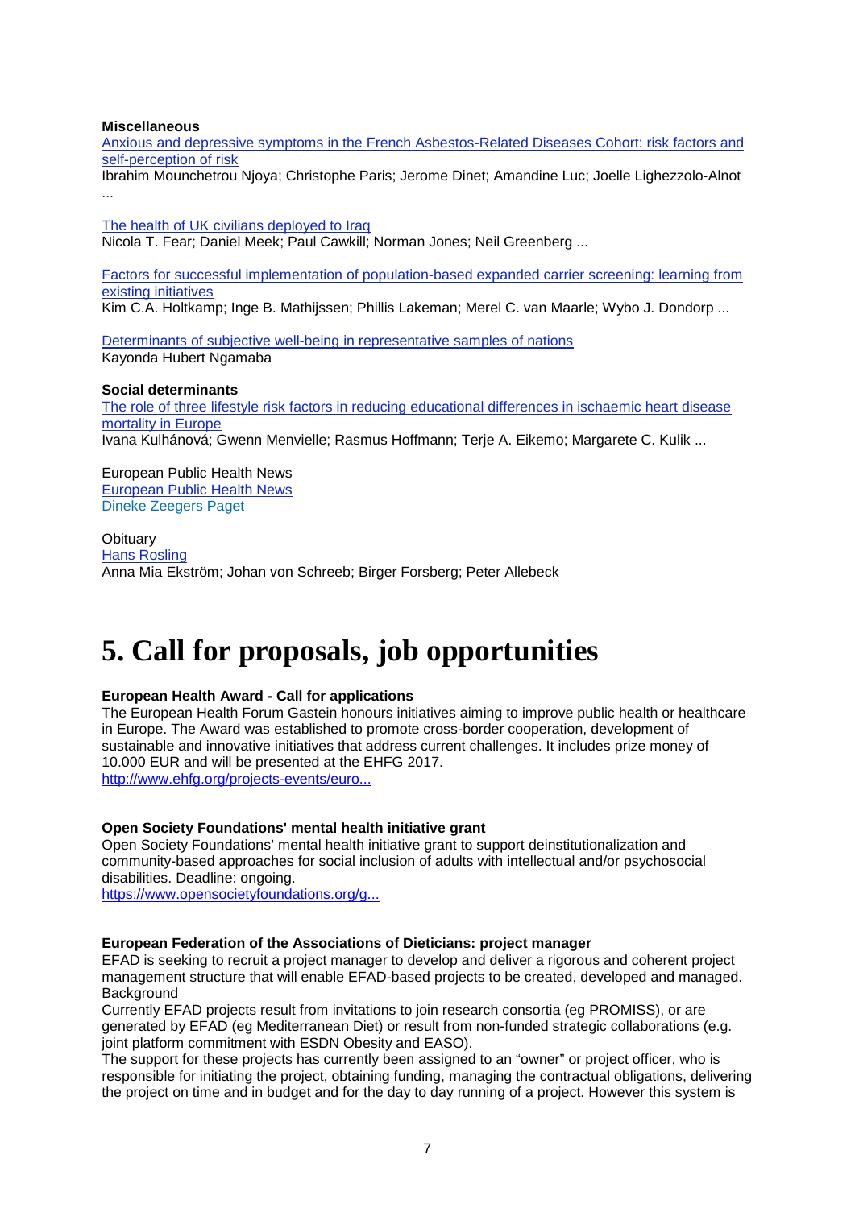#### **Miscellaneous**

[Anxious and depressive symptoms in the French Asbestos-Related Diseases Cohort: risk factors and](https://academic.oup.com/eurpub/article/27/2/359/2616305/Anxious-and-depressive-symptoms-in-the-French)  [self-perception of risk](https://academic.oup.com/eurpub/article/27/2/359/2616305/Anxious-and-depressive-symptoms-in-the-French)

[Ibrahim Mounchetrou Njoya;](https://academic.oup.com/eurpub/search-results?f_Authors=Ibrahim+Mounchetrou+Njoya) [Christophe Paris;](https://academic.oup.com/eurpub/search-results?f_Authors=Christophe+Paris) [Jerome Dinet;](https://academic.oup.com/eurpub/search-results?f_Authors=Jerome+Dinet) [Amandine Luc;](https://academic.oup.com/eurpub/search-results?f_Authors=Amandine+Luc) [Joelle Lighezzolo-Alnot](https://academic.oup.com/eurpub/search-results?f_Authors=Joelle+Lighezzolo-Alnot) ...

[The health of UK civilians deployed to Iraq](https://academic.oup.com/eurpub/article/27/2/367/2616319/The-health-of-UK-civilians-deployed-to-Iraq) [Nicola T. Fear;](https://academic.oup.com/eurpub/search-results?f_Authors=Nicola+T.+Fear) [Daniel Meek;](https://academic.oup.com/eurpub/search-results?f_Authors=Daniel+Meek) [Paul Cawkill;](https://academic.oup.com/eurpub/search-results?f_Authors=Paul+Cawkill) [Norman Jones;](https://academic.oup.com/eurpub/search-results?f_Authors=Norman+Jones) [Neil Greenberg](https://academic.oup.com/eurpub/search-results?f_Authors=Neil+Greenberg) ...

[Factors for successful implementation of population-based expanded carrier screening: learning from](https://academic.oup.com/eurpub/article/27/2/372/2616340/Factors-for-successful-implementation-of)  [existing initiatives](https://academic.oup.com/eurpub/article/27/2/372/2616340/Factors-for-successful-implementation-of)

[Kim C.A. Holtkamp;](https://academic.oup.com/eurpub/search-results?f_Authors=Kim+C.A.+Holtkamp) [Inge B. Mathijssen;](https://academic.oup.com/eurpub/search-results?f_Authors=Inge+B.+Mathijssen) [Phillis Lakeman;](https://academic.oup.com/eurpub/search-results?f_Authors=Phillis+Lakeman) [Merel C. van Maarle;](https://academic.oup.com/eurpub/search-results?f_Authors=Merel+C.+van+Maarle) [Wybo J. Dondorp](https://academic.oup.com/eurpub/search-results?f_Authors=Wybo+J.+Dondorp) ...

[Determinants of subjective well-being in representative samples of nations](https://academic.oup.com/eurpub/article/27/2/377/2616286/Determinants-of-subjective-well-being-in) [Kayonda Hubert Ngamaba](https://academic.oup.com/eurpub/search-results?f_Authors=Kayonda+Hubert+Ngamaba)

#### **Social determinants**

[The role of three lifestyle risk factors in reducing educational differences in ischaemic heart disease](https://academic.oup.com/eurpub/article/27/2/203/2616289/The-role-of-three-lifestyle-risk-factors-in)  [mortality in Europe](https://academic.oup.com/eurpub/article/27/2/203/2616289/The-role-of-three-lifestyle-risk-factors-in) [Ivana Kulhánová;](https://academic.oup.com/eurpub/search-results?f_Authors=Ivana+Kulh%c3%a1nov%c3%a1) [Gwenn Menvielle;](https://academic.oup.com/eurpub/search-results?f_Authors=Gwenn+Menvielle) [Rasmus Hoffmann;](https://academic.oup.com/eurpub/search-results?f_Authors=Rasmus+Hoffmann) [Terje A. Eikemo;](https://academic.oup.com/eurpub/search-results?f_Authors=Terje+A.+Eikemo) [Margarete C. Kulik](https://academic.oup.com/eurpub/search-results?f_Authors=Margarete+C.+Kulik) ...

European Public Health News [European Public Health News](https://academic.oup.com/eurpub/article/27/2/384/3091417/European-Public-Health-News) [Dineke Zeegers Paget](https://academic.oup.com/eurpub/search-results?f_Authors=Dineke+Zeegers+Paget)

**Obituary** [Hans Rosling](https://academic.oup.com/eurpub/article/27/2/387/3091418/Hans-Rosling) [Anna Mia Ekström;](https://academic.oup.com/eurpub/search-results?f_Authors=Anna+Mia+Ekstr%c3%b6m) [Johan von Schreeb;](https://academic.oup.com/eurpub/search-results?f_Authors=Johan+von+Schreeb) [Birger Forsberg;](https://academic.oup.com/eurpub/search-results?f_Authors=Birger+Forsberg) [Peter Allebeck](https://academic.oup.com/eurpub/search-results?f_Authors=Peter+Allebeck)

# <span id="page-6-0"></span>**5. Call for proposals, job opportunities**

# **European Health Award - Call for applications**

The European Health Forum Gastein honours initiatives aiming to improve public health or healthcare in Europe. The Award was established to promote cross-border cooperation, development of sustainable and innovative initiatives that address current challenges. It includes prize money of 10.000 EUR and will be presented at the EHFG 2017. [http://www.ehfg.org/projects-events/euro...](http://www.ehfg.org/projects-events/european-health-award/)

#### **Open Society Foundations' mental health initiative grant**

Open Society Foundations' mental health initiative grant to support deinstitutionalization and community-based approaches for social inclusion of adults with intellectual and/or psychosocial disabilities. Deadline: ongoing.

[https://www.opensocietyfoundations.org/g...](http://euphapedia.eupha.org/newsletter/https:/www.opensocietyfoundations.org/grants/mental-health-initiative)

#### **European Federation of the Associations of Dieticians: project manager**

EFAD is seeking to recruit a project manager to develop and deliver a rigorous and coherent project management structure that will enable EFAD-based projects to be created, developed and managed. **Background** 

Currently EFAD projects result from invitations to join research consortia (eg PROMISS), or are generated by EFAD (eg Mediterranean Diet) or result from non-funded strategic collaborations (e.g. joint platform commitment with ESDN Obesity and EASO).

The support for these projects has currently been assigned to an "owner" or project officer, who is responsible for initiating the project, obtaining funding, managing the contractual obligations, delivering the project on time and in budget and for the day to day running of a project. However this system is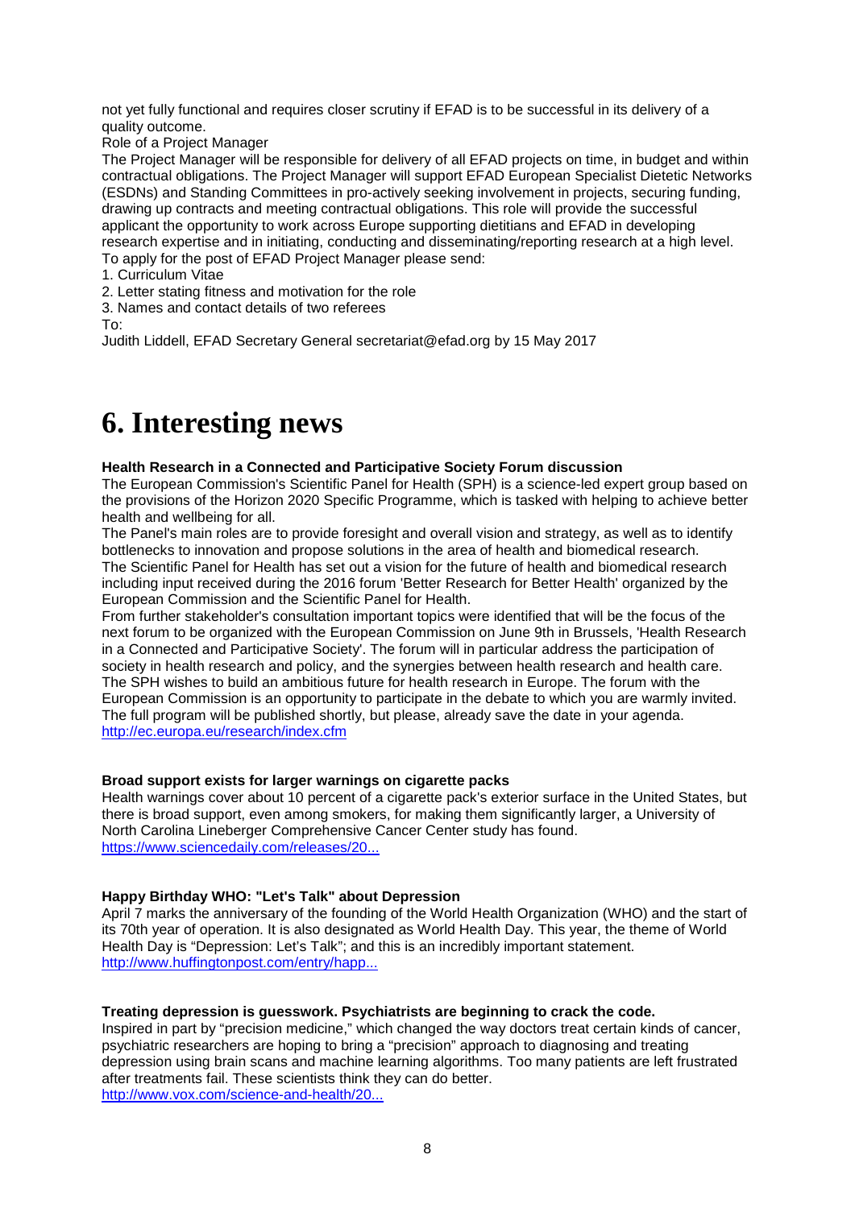not yet fully functional and requires closer scrutiny if EFAD is to be successful in its delivery of a quality outcome.

Role of a Project Manager

The Project Manager will be responsible for delivery of all EFAD projects on time, in budget and within contractual obligations. The Project Manager will support EFAD European Specialist Dietetic Networks (ESDNs) and Standing Committees in pro-actively seeking involvement in projects, securing funding, drawing up contracts and meeting contractual obligations. This role will provide the successful applicant the opportunity to work across Europe supporting dietitians and EFAD in developing research expertise and in initiating, conducting and disseminating/reporting research at a high level. To apply for the post of EFAD Project Manager please send:

1. Curriculum Vitae

2. Letter stating fitness and motivation for the role

3. Names and contact details of two referees

To:

Judith Liddell, EFAD Secretary General secretariat@efad.org by 15 May 2017

# <span id="page-7-0"></span>**6. Interesting news**

#### **Health Research in a Connected and Participative Society Forum discussion**

The European Commission's Scientific Panel for Health (SPH) is a science-led expert group based on the provisions of the Horizon 2020 Specific Programme, which is tasked with helping to achieve better health and wellbeing for all.

The Panel's main roles are to provide foresight and overall vision and strategy, as well as to identify bottlenecks to innovation and propose solutions in the area of health and biomedical research. The Scientific Panel for Health has set out a vision for the future of health and biomedical research including input received during the 2016 forum 'Better Research for Better Health' organized by the European Commission and the Scientific Panel for Health.

From further stakeholder's consultation important topics were identified that will be the focus of the next forum to be organized with the European Commission on June 9th in Brussels, 'Health Research in a Connected and Participative Society'. The forum will in particular address the participation of society in health research and policy, and the synergies between health research and health care. The SPH wishes to build an ambitious future for health research in Europe. The forum with the European Commission is an opportunity to participate in the debate to which you are warmly invited. The full program will be published shortly, but please, already save the date in your agenda. [http://ec.europa.eu/research/index.cfm](http://ec.europa.eu/research/index.cfm?pg=events&eventcode=D5562414-CBD8-9313-8DA314A8294D6298)

# **Broad support exists for larger warnings on cigarette packs**

Health warnings cover about 10 percent of a cigarette pack's exterior surface in the United States, but there is broad support, even among smokers, for making them significantly larger, a University of North Carolina Lineberger Comprehensive Cancer Center study has found. [https://www.sciencedaily.com/releases/20...](http://euphapedia.eupha.org/newsletter/https:/www.sciencedaily.com/releases/2017/03/170328135500.htm?utm_source=feedburner&utm_medium=email&utm_campaign=Feed%3A+sciencedaily%2Fscience_society%2Fpublic_health+%28Public+Health+News+--+Scien)

# **Happy Birthday WHO: "Let's Talk" about Depression**

April 7 marks the anniversary of the founding of the World Health Organization (WHO) and the start of its 70th year of operation. It is also designated as World Health Day. This year, the theme of World Health Day is "Depression: Let's Talk"; and this is an incredibly important statement. [http://www.huffingtonpost.com/entry/happ...](http://www.huffingtonpost.com/entry/happy-birthday-who-lets-talk-about-depression_us_58e782b6e4b00dd8e016eac4)

# **Treating depression is guesswork. Psychiatrists are beginning to crack the code.**

Inspired in part by "precision medicine," which changed the way doctors treat certain kinds of cancer, psychiatric researchers are hoping to bring a "precision" approach to diagnosing and treating depression using brain scans and machine learning algorithms. Too many patients are left frustrated after treatments fail. These scientists think they can do better. [http://www.vox.com/science-and-health/20...](http://www.vox.com/science-and-health/2017/4/4/15073652/precision-psychiatry-depression)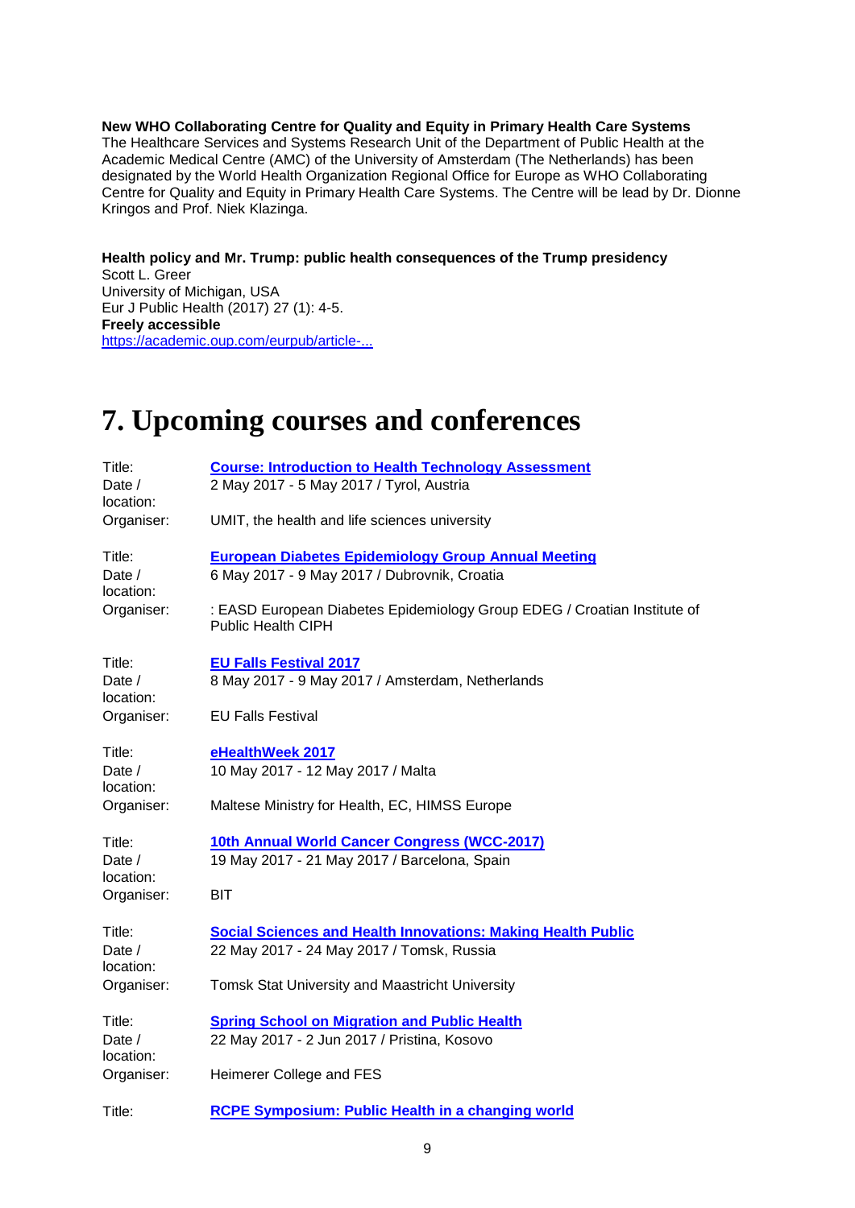**New WHO Collaborating Centre for Quality and Equity in Primary Health Care Systems** The Healthcare Services and Systems Research Unit of the Department of Public Health at the Academic Medical Centre (AMC) of the University of Amsterdam (The Netherlands) has been designated by the World Health Organization Regional Office for Europe as WHO Collaborating Centre for Quality and Equity in Primary Health Care Systems. The Centre will be lead by Dr. Dionne Kringos and Prof. Niek Klazinga.

**Health policy and Mr. Trump: public health consequences of the Trump presidency** Scott L. Greer University of Michigan, USA Eur J Public Health (2017) 27 (1): 4-5. **Freely accessible** [https://academic.oup.com/eurpub/article-...](http://euphapedia.eupha.org/newsletter/https:/academic.oup.com/eurpub/article-abstract/27/1/4/2978093/Heath-policy-and-Mr-Trump-public-health?redirectedFrom=fulltext)

# <span id="page-8-0"></span>**7. Upcoming courses and conferences**

| Title:              | <b>Course: Introduction to Health Technology Assessment</b>                                           |
|---------------------|-------------------------------------------------------------------------------------------------------|
| Date /<br>location: | 2 May 2017 - 5 May 2017 / Tyrol, Austria                                                              |
| Organiser:          | UMIT, the health and life sciences university                                                         |
| Title:              | <b>European Diabetes Epidemiology Group Annual Meeting</b>                                            |
| Date /<br>location: | 6 May 2017 - 9 May 2017 / Dubrovnik, Croatia                                                          |
| Organiser:          | : EASD European Diabetes Epidemiology Group EDEG / Croatian Institute of<br><b>Public Health CIPH</b> |
| Title:              | <b>EU Falls Festival 2017</b>                                                                         |
| Date /<br>location: | 8 May 2017 - 9 May 2017 / Amsterdam, Netherlands                                                      |
| Organiser:          | <b>EU Falls Festival</b>                                                                              |
| Title:              | eHealthWeek 2017                                                                                      |
| Date /<br>location: | 10 May 2017 - 12 May 2017 / Malta                                                                     |
| Organiser:          | Maltese Ministry for Health, EC, HIMSS Europe                                                         |
| Title:              | 10th Annual World Cancer Congress (WCC-2017)                                                          |
| Date /<br>location: | 19 May 2017 - 21 May 2017 / Barcelona, Spain                                                          |
| Organiser:          | <b>BIT</b>                                                                                            |
| Title:              | <b>Social Sciences and Health Innovations: Making Health Public</b>                                   |
| Date /<br>location: | 22 May 2017 - 24 May 2017 / Tomsk, Russia                                                             |
| Organiser:          | <b>Tomsk Stat University and Maastricht University</b>                                                |
| Title:              | <b>Spring School on Migration and Public Health</b>                                                   |
| Date /<br>location: | 22 May 2017 - 2 Jun 2017 / Pristina, Kosovo                                                           |
| Organiser:          | Heimerer College and FES                                                                              |
| Title:              | <b>RCPE Symposium: Public Health in a changing world</b>                                              |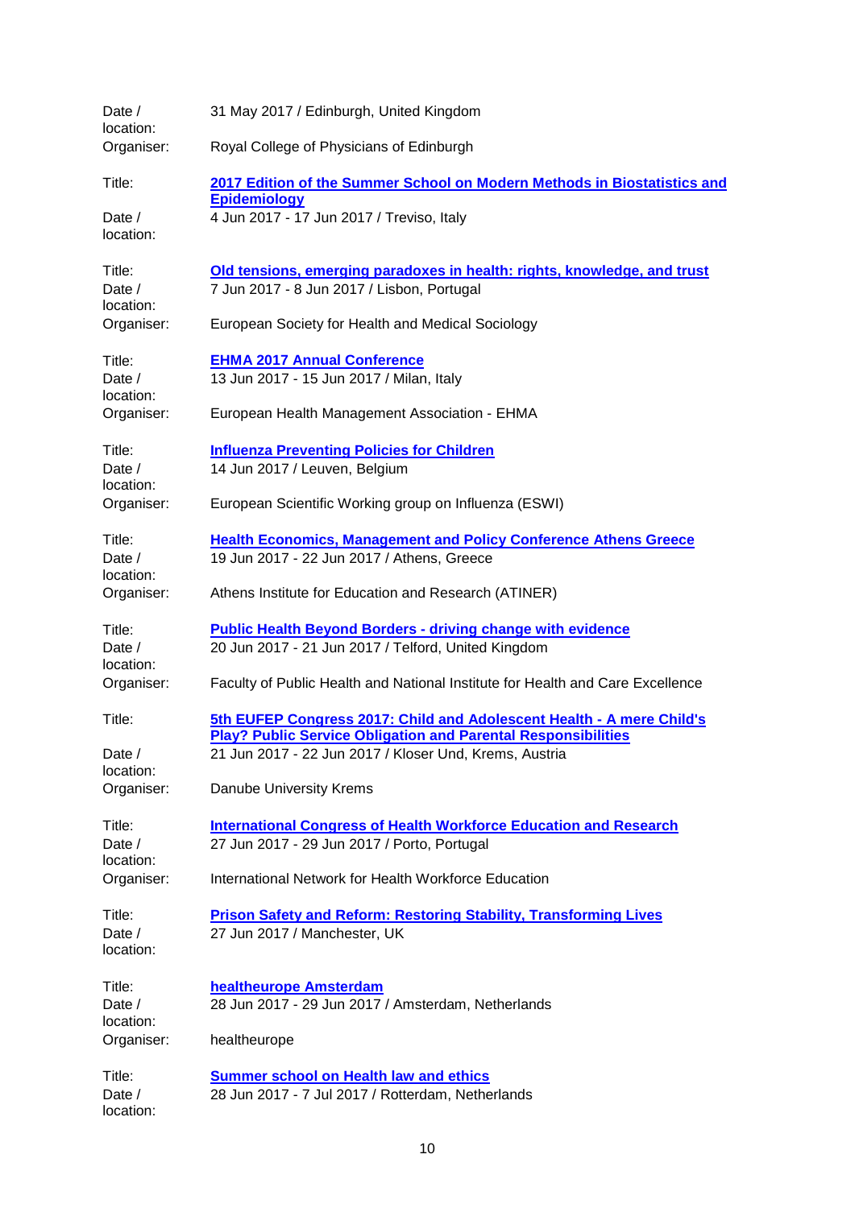| Date /<br>location:<br>Organiser:             | 31 May 2017 / Edinburgh, United Kingdom<br>Royal College of Physicians of Edinburgh                                                                                                                                                |
|-----------------------------------------------|------------------------------------------------------------------------------------------------------------------------------------------------------------------------------------------------------------------------------------|
| Title:<br>Date $/$<br>location:               | 2017 Edition of the Summer School on Modern Methods in Biostatistics and<br><b>Epidemiology</b><br>4 Jun 2017 - 17 Jun 2017 / Treviso, Italy                                                                                       |
| Title:<br>Date $/$<br>location:<br>Organiser: | Old tensions, emerging paradoxes in health: rights, knowledge, and trust<br>7 Jun 2017 - 8 Jun 2017 / Lisbon, Portugal<br>European Society for Health and Medical Sociology                                                        |
| Title:<br>Date $/$<br>location:<br>Organiser: | <b>EHMA 2017 Annual Conference</b><br>13 Jun 2017 - 15 Jun 2017 / Milan, Italy<br>European Health Management Association - EHMA                                                                                                    |
| Title:<br>Date /<br>location:<br>Organiser:   | <b>Influenza Preventing Policies for Children</b><br>14 Jun 2017 / Leuven, Belgium<br>European Scientific Working group on Influenza (ESWI)                                                                                        |
| Title:<br>Date $/$<br>location:<br>Organiser: | <b>Health Economics, Management and Policy Conference Athens Greece</b><br>19 Jun 2017 - 22 Jun 2017 / Athens, Greece<br>Athens Institute for Education and Research (ATINER)                                                      |
| Title:<br>Date /<br>location:<br>Organiser:   | <b>Public Health Beyond Borders - driving change with evidence</b><br>20 Jun 2017 - 21 Jun 2017 / Telford, United Kingdom<br>Faculty of Public Health and National Institute for Health and Care Excellence                        |
| Title:<br>Date /<br>location:<br>Organiser:   | 5th EUFEP Congress 2017: Child and Adolescent Health - A mere Child's<br><b>Play? Public Service Obligation and Parental Responsibilities</b><br>21 Jun 2017 - 22 Jun 2017 / Kloser Und, Krems, Austria<br>Danube University Krems |
| Title:<br>Date /<br>location:<br>Organiser:   | <b>International Congress of Health Workforce Education and Research</b><br>27 Jun 2017 - 29 Jun 2017 / Porto, Portugal<br>International Network for Health Workforce Education                                                    |
| Title:<br>Date /<br>location:                 | <b>Prison Safety and Reform: Restoring Stability, Transforming Lives</b><br>27 Jun 2017 / Manchester, UK                                                                                                                           |
| Title:<br>Date /<br>location:<br>Organiser:   | healtheurope Amsterdam<br>28 Jun 2017 - 29 Jun 2017 / Amsterdam, Netherlands<br>healtheurope                                                                                                                                       |
| Title:<br>Date /<br>location:                 | <b>Summer school on Health law and ethics</b><br>28 Jun 2017 - 7 Jul 2017 / Rotterdam, Netherlands                                                                                                                                 |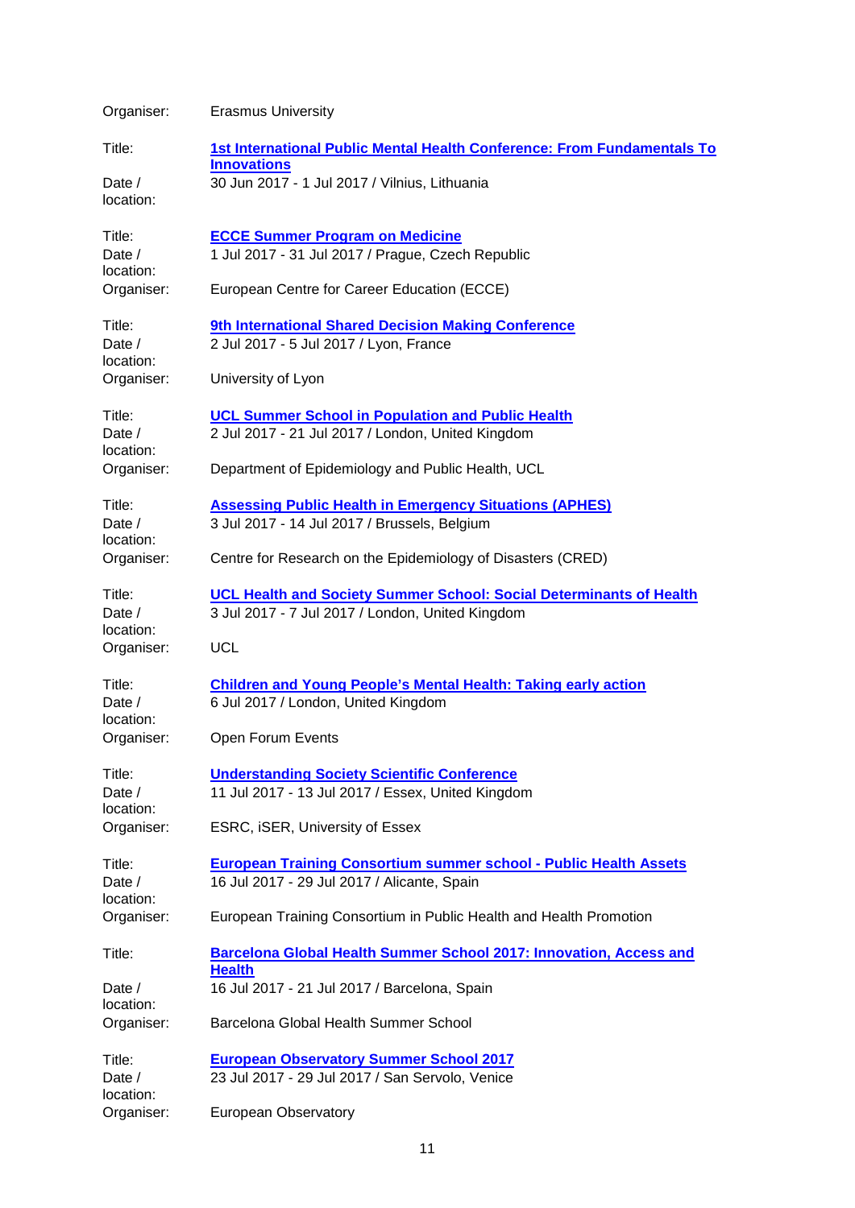| Organiser:                                  | <b>Erasmus University</b>                                                                                                      |
|---------------------------------------------|--------------------------------------------------------------------------------------------------------------------------------|
| Title:                                      | 1st International Public Mental Health Conference: From Fundamentals To                                                        |
| Date /<br>location:                         | <b>Innovations</b><br>30 Jun 2017 - 1 Jul 2017 / Vilnius, Lithuania                                                            |
| Title:<br>Date /<br>location:<br>Organiser: | <b>ECCE Summer Program on Medicine</b><br>1 Jul 2017 - 31 Jul 2017 / Prague, Czech Republic                                    |
|                                             | European Centre for Career Education (ECCE)                                                                                    |
| Title:<br>Date $/$<br>location:             | 9th International Shared Decision Making Conference<br>2 Jul 2017 - 5 Jul 2017 / Lyon, France                                  |
| Organiser:                                  | University of Lyon                                                                                                             |
| Title:<br>Date /<br>location:               | <b>UCL Summer School in Population and Public Health</b><br>2 Jul 2017 - 21 Jul 2017 / London, United Kingdom                  |
| Organiser:                                  | Department of Epidemiology and Public Health, UCL                                                                              |
| Title:<br>Date /<br>location:               | <b>Assessing Public Health in Emergency Situations (APHES)</b><br>3 Jul 2017 - 14 Jul 2017 / Brussels, Belgium                 |
| Organiser:                                  | Centre for Research on the Epidemiology of Disasters (CRED)                                                                    |
| Title:<br>Date /<br>location:               | <b>UCL Health and Society Summer School: Social Determinants of Health</b><br>3 Jul 2017 - 7 Jul 2017 / London, United Kingdom |
| Organiser:                                  | <b>UCL</b>                                                                                                                     |
| Title:<br>Date /<br>location:               | <b>Children and Young People's Mental Health: Taking early action</b><br>6 Jul 2017 / London, United Kingdom                   |
| Organiser:                                  | Open Forum Events                                                                                                              |
| Title:<br>Date /<br>location:<br>Organiser: | <b>Understanding Society Scientific Conference</b><br>11 Jul 2017 - 13 Jul 2017 / Essex, United Kingdom                        |
|                                             | ESRC, iSER, University of Essex                                                                                                |
| Title:<br>Date /                            | <b>European Training Consortium summer school - Public Health Assets</b><br>16 Jul 2017 - 29 Jul 2017 / Alicante, Spain        |
| location:<br>Organiser:                     | European Training Consortium in Public Health and Health Promotion                                                             |
| Title:                                      | Barcelona Global Health Summer School 2017: Innovation, Access and<br><b>Health</b>                                            |
| Date $/$<br>location:                       | 16 Jul 2017 - 21 Jul 2017 / Barcelona, Spain                                                                                   |
| Organiser:                                  | Barcelona Global Health Summer School                                                                                          |
| Title:                                      | <b>European Observatory Summer School 2017</b>                                                                                 |
| Date /<br>location:                         | 23 Jul 2017 - 29 Jul 2017 / San Servolo, Venice                                                                                |
| Organiser:                                  | European Observatory                                                                                                           |

11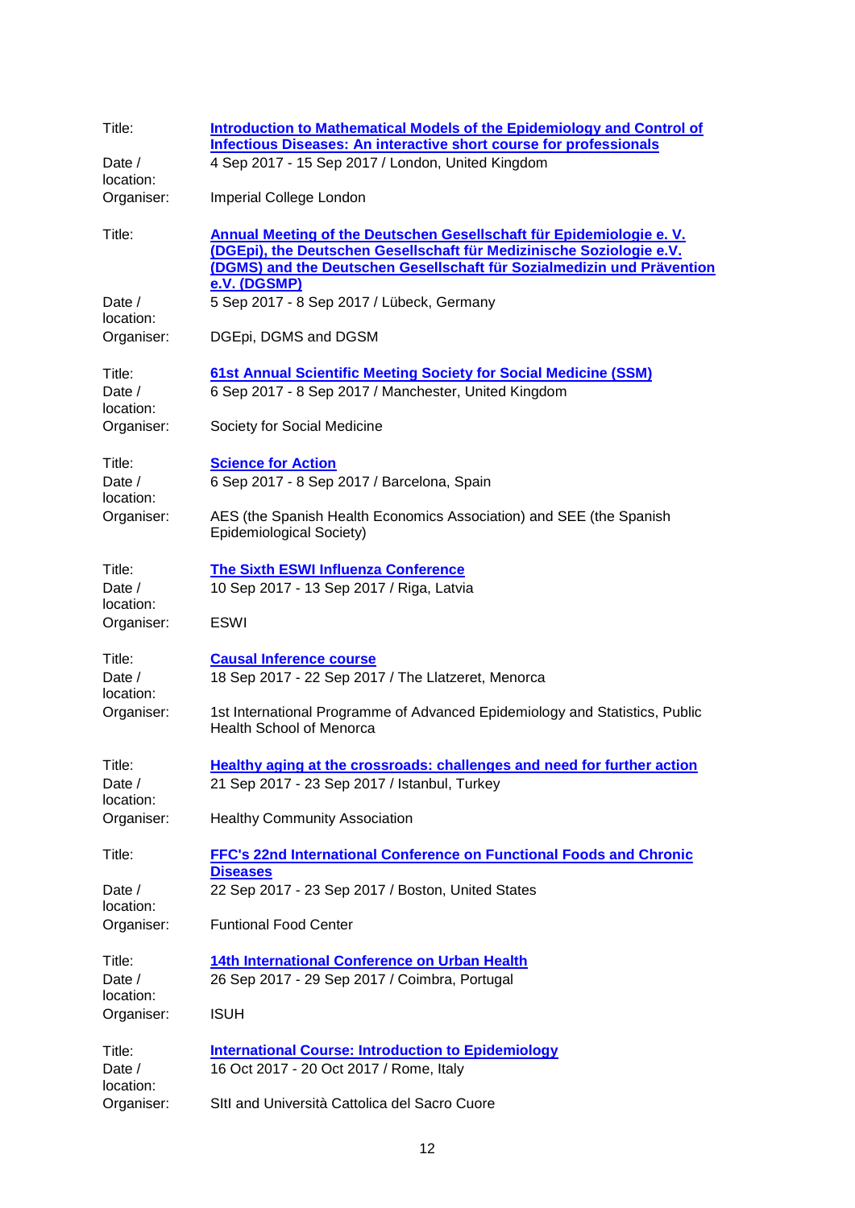| Title:                          | Introduction to Mathematical Models of the Epidemiology and Control of<br><b>Infectious Diseases: An interactive short course for professionals</b>                                                                                    |
|---------------------------------|----------------------------------------------------------------------------------------------------------------------------------------------------------------------------------------------------------------------------------------|
| Date $/$<br>location:           | 4 Sep 2017 - 15 Sep 2017 / London, United Kingdom                                                                                                                                                                                      |
| Organiser:                      | Imperial College London                                                                                                                                                                                                                |
| Title:                          | Annual Meeting of the Deutschen Gesellschaft für Epidemiologie e. V.<br>(DGEpi), the Deutschen Gesellschaft für Medizinische Soziologie e.V.<br>(DGMS) and the Deutschen Gesellschaft für Sozialmedizin und Prävention<br>e.V. (DGSMP) |
| Date $/$<br>location:           | 5 Sep 2017 - 8 Sep 2017 / Lübeck, Germany                                                                                                                                                                                              |
| Organiser:                      | DGEpi, DGMS and DGSM                                                                                                                                                                                                                   |
| Title:<br>Date $/$<br>location: | 61st Annual Scientific Meeting Society for Social Medicine (SSM)<br>6 Sep 2017 - 8 Sep 2017 / Manchester, United Kingdom                                                                                                               |
| Organiser:                      | Society for Social Medicine                                                                                                                                                                                                            |
| Title:<br>Date /<br>location:   | <b>Science for Action</b><br>6 Sep 2017 - 8 Sep 2017 / Barcelona, Spain                                                                                                                                                                |
| Organiser:                      | AES (the Spanish Health Economics Association) and SEE (the Spanish<br>Epidemiological Society)                                                                                                                                        |
| Title:<br>Date /<br>location:   | <b>The Sixth ESWI Influenza Conference</b><br>10 Sep 2017 - 13 Sep 2017 / Riga, Latvia                                                                                                                                                 |
| Organiser:                      | <b>ESWI</b>                                                                                                                                                                                                                            |
| Title:<br>Date /<br>location:   | <b>Causal Inference course</b><br>18 Sep 2017 - 22 Sep 2017 / The Llatzeret, Menorca                                                                                                                                                   |
| Organiser:                      | 1st International Programme of Advanced Epidemiology and Statistics, Public<br><b>Health School of Menorca</b>                                                                                                                         |
| Title:<br>Date $/$              | Healthy aging at the crossroads: challenges and need for further action<br>21 Sep 2017 - 23 Sep 2017 / Istanbul, Turkey                                                                                                                |
| location:<br>Organiser:         | <b>Healthy Community Association</b>                                                                                                                                                                                                   |
| Title:                          | FFC's 22nd International Conference on Functional Foods and Chronic<br><b>Diseases</b>                                                                                                                                                 |
| Date $/$<br>location:           | 22 Sep 2017 - 23 Sep 2017 / Boston, United States                                                                                                                                                                                      |
| Organiser:                      | <b>Funtional Food Center</b>                                                                                                                                                                                                           |
| Title:<br>Date /<br>location:   | 14th International Conference on Urban Health<br>26 Sep 2017 - 29 Sep 2017 / Coimbra, Portugal                                                                                                                                         |
| Organiser:                      | <b>ISUH</b>                                                                                                                                                                                                                            |
| Title:<br>Date /<br>location:   | <b>International Course: Introduction to Epidemiology</b><br>16 Oct 2017 - 20 Oct 2017 / Rome, Italy                                                                                                                                   |
| Organiser:                      | SItl and Università Cattolica del Sacro Cuore                                                                                                                                                                                          |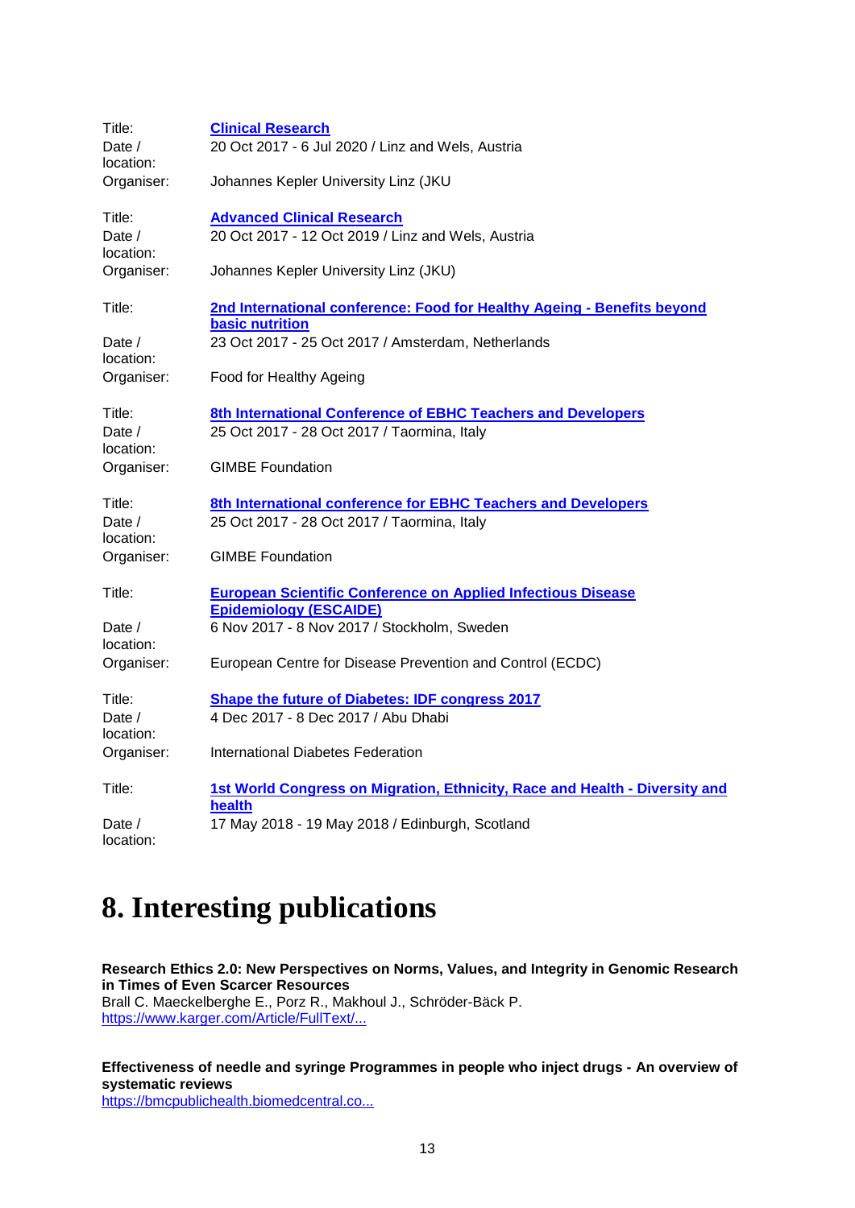| Title:                | <b>Clinical Research</b>                                                                          |
|-----------------------|---------------------------------------------------------------------------------------------------|
| Date $/$<br>location: | 20 Oct 2017 - 6 Jul 2020 / Linz and Wels, Austria                                                 |
| Organiser:            | Johannes Kepler University Linz (JKU                                                              |
| Title:                | <b>Advanced Clinical Research</b>                                                                 |
| Date $/$<br>location: | 20 Oct 2017 - 12 Oct 2019 / Linz and Wels, Austria                                                |
| Organiser:            | Johannes Kepler University Linz (JKU)                                                             |
| Title:                | 2nd International conference: Food for Healthy Ageing - Benefits beyond<br><b>basic nutrition</b> |
| Date $/$<br>location: | 23 Oct 2017 - 25 Oct 2017 / Amsterdam, Netherlands                                                |
| Organiser:            | Food for Healthy Ageing                                                                           |
| Title:                | 8th International Conference of EBHC Teachers and Developers                                      |
| Date $/$<br>location: | 25 Oct 2017 - 28 Oct 2017 / Taormina, Italy                                                       |
| Organiser:            | <b>GIMBE Foundation</b>                                                                           |
| Title:                | 8th International conference for EBHC Teachers and Developers                                     |
| Date /<br>location:   | 25 Oct 2017 - 28 Oct 2017 / Taormina, Italy                                                       |
| Organiser:            | <b>GIMBE Foundation</b>                                                                           |
| Title:                | <b>European Scientific Conference on Applied Infectious Disease</b>                               |
| Date $/$<br>location: | <b>Epidemiology (ESCAIDE)</b><br>6 Nov 2017 - 8 Nov 2017 / Stockholm, Sweden                      |
| Organiser:            | European Centre for Disease Prevention and Control (ECDC)                                         |
| Title:                | <b>Shape the future of Diabetes: IDF congress 2017</b>                                            |
| Date /<br>location:   | 4 Dec 2017 - 8 Dec 2017 / Abu Dhabi                                                               |
| Organiser:            | International Diabetes Federation                                                                 |
| Title:                | 1st World Congress on Migration, Ethnicity, Race and Health - Diversity and<br>health             |
| Date /<br>location:   | 17 May 2018 - 19 May 2018 / Edinburgh, Scotland                                                   |

# <span id="page-12-0"></span>**8. Interesting publications**

**Research Ethics 2.0: New Perspectives on Norms, Values, and Integrity in Genomic Research in Times of Even Scarcer Resources** Brall C. Maeckelberghe E., Porz R., Makhoul J., Schröder-Bäck P. [https://www.karger.com/Article/FullText/...](http://euphapedia.eupha.org/newsletter/https:/www.karger.com/Article/FullText/462960)

**Effectiveness of needle and syringe Programmes in people who inject drugs - An overview of systematic reviews** [https://bmcpublichealth.biomedcentral.co...](http://euphapedia.eupha.org/newsletter/https:/bmcpublichealth.biomedcentral.com/articles/10.1186/s12889-017-4210-2)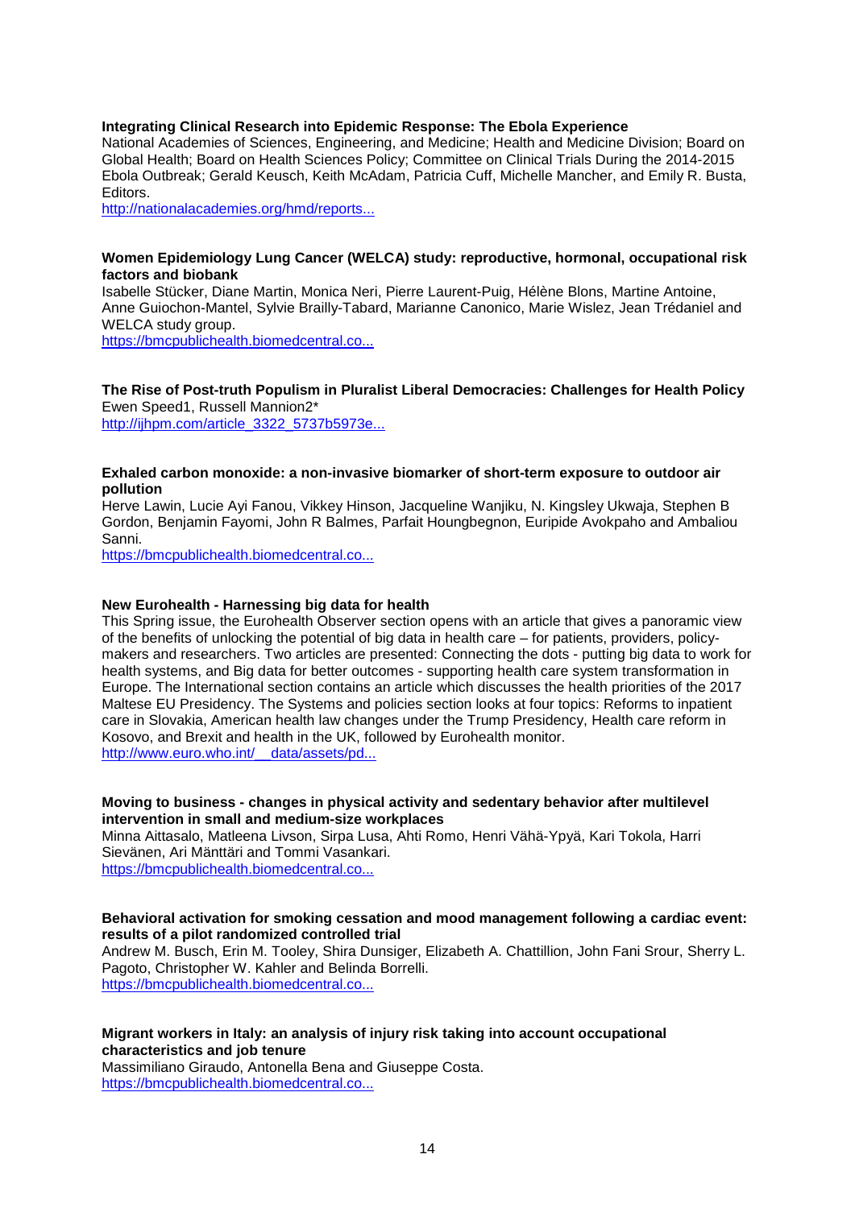#### **Integrating Clinical Research into Epidemic Response: The Ebola Experience**

National Academies of Sciences, Engineering, and Medicine; Health and Medicine Division; Board on Global Health; Board on Health Sciences Policy; Committee on Clinical Trials During the 2014-2015 Ebola Outbreak; Gerald Keusch, Keith McAdam, Patricia Cuff, Michelle Mancher, and Emily R. Busta, Editors.

[http://nationalacademies.org/hmd/reports...](http://nationalacademies.org/hmd/reports/2017/integrating-clinical-research-into-epidemic-response-the-ebola-experience.aspx)

#### **Women Epidemiology Lung Cancer (WELCA) study: reproductive, hormonal, occupational risk factors and biobank**

Isabelle Stücker, Diane Martin, Monica Neri, Pierre Laurent-Puig, Hélène Blons, Martine Antoine, Anne Guiochon-Mantel, Sylvie Brailly-Tabard, Marianne Canonico, Marie Wislez, Jean Trédaniel and WELCA study group.

[https://bmcpublichealth.biomedcentral.co...](http://euphapedia.eupha.org/newsletter/https:/bmcpublichealth.biomedcentral.com/articles/10.1186/s12889-017-4191-1)

# **The Rise of Post-truth Populism in Pluralist Liberal Democracies: Challenges for Health Policy** Ewen Speed1, Russell Mannion2\*

[http://ijhpm.com/article\\_3322\\_5737b5973e...](http://ijhpm.com/article_3322_5737b5973ea52feb588c3d8056b0e5cd.pdf)

#### **Exhaled carbon monoxide: a non-invasive biomarker of short-term exposure to outdoor air pollution**

Herve Lawin, Lucie Ayi Fanou, Vikkey Hinson, Jacqueline Wanjiku, N. Kingsley Ukwaja, Stephen B Gordon, Benjamin Fayomi, John R Balmes, Parfait Houngbegnon, Euripide Avokpaho and Ambaliou Sanni.

[https://bmcpublichealth.biomedcentral.co...](http://euphapedia.eupha.org/newsletter/https:/bmcpublichealth.biomedcentral.com/articles/10.1186/s12889-017-4243-6)

### **New Eurohealth - Harnessing big data for health**

This Spring issue, the Eurohealth Observer section opens with an article that gives a panoramic view of the benefits of unlocking the potential of big data in health care – for patients, providers, policymakers and researchers. Two articles are presented: Connecting the dots - putting big data to work for health systems, and Big data for better outcomes - supporting health care system transformation in Europe. The International section contains an article which discusses the health priorities of the 2017 Maltese EU Presidency. The Systems and policies section looks at four topics: Reforms to inpatient care in Slovakia, American health law changes under the Trump Presidency, Health care reform in Kosovo, and Brexit and health in the UK, followed by Eurohealth monitor. http://www.euro.who.int/ data/assets/pd...

#### **Moving to business - changes in physical activity and sedentary behavior after multilevel intervention in small and medium-size workplaces**

Minna Aittasalo, Matleena Livson, Sirpa Lusa, Ahti Romo, Henri Vähä-Ypyä, Kari Tokola, Harri Sievänen, Ari Mänttäri and Tommi Vasankari.

[https://bmcpublichealth.biomedcentral.co...](http://euphapedia.eupha.org/newsletter/https:/bmcpublichealth.biomedcentral.com/articles/10.1186/s12889-017-4229-4)

#### **Behavioral activation for smoking cessation and mood management following a cardiac event: results of a pilot randomized controlled trial**

Andrew M. Busch, Erin M. Tooley, Shira Dunsiger, Elizabeth A. Chattillion, John Fani Srour, Sherry L. Pagoto, Christopher W. Kahler and Belinda Borrelli. [https://bmcpublichealth.biomedcentral.co...](http://euphapedia.eupha.org/newsletter/https:/bmcpublichealth.biomedcentral.com/articles/10.1186/s12889-017-4250-7)

#### **Migrant workers in Italy: an analysis of injury risk taking into account occupational characteristics and job tenure**

Massimiliano Giraudo, Antonella Bena and Giuseppe Costa. [https://bmcpublichealth.biomedcentral.co...](http://euphapedia.eupha.org/newsletter/https:/bmcpublichealth.biomedcentral.com/articles/10.1186/s12889-017-4240-9)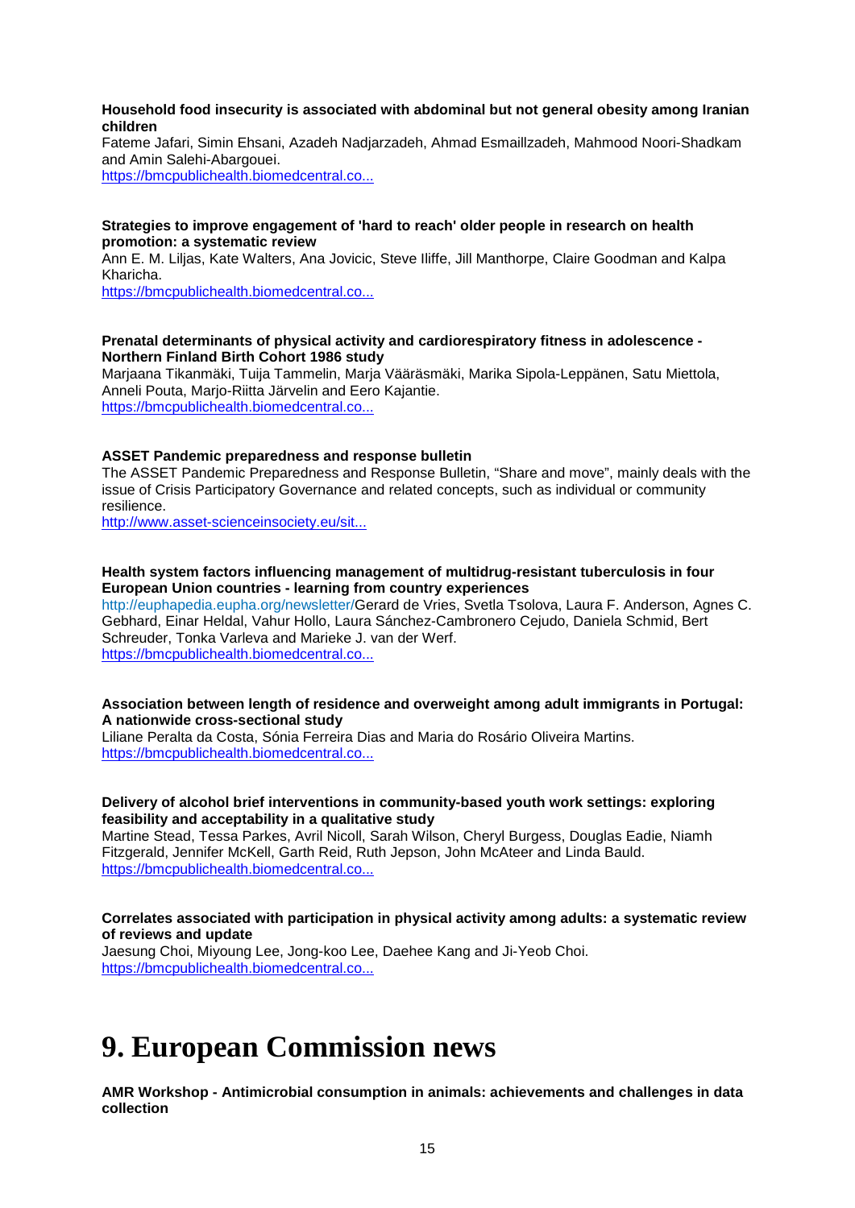#### **Household food insecurity is associated with abdominal but not general obesity among Iranian children**

Fateme Jafari, Simin Ehsani, Azadeh Nadjarzadeh, Ahmad Esmaillzadeh, Mahmood Noori-Shadkam and Amin Salehi-Abargouei.

[https://bmcpublichealth.biomedcentral.co...](http://euphapedia.eupha.org/newsletter/https:/bmcpublichealth.biomedcentral.com/articles/10.1186/s12889-017-4262-3)

#### **Strategies to improve engagement of 'hard to reach' older people in research on health promotion: a systematic review**

Ann E. M. Liljas, Kate Walters, Ana Jovicic, Steve Iliffe, Jill Manthorpe, Claire Goodman and Kalpa Kharicha.

[https://bmcpublichealth.biomedcentral.co...](http://euphapedia.eupha.org/newsletter/https:/bmcpublichealth.biomedcentral.com/articles/10.1186/s12889-017-4241-8)

#### **Prenatal determinants of physical activity and cardiorespiratory fitness in adolescence - Northern Finland Birth Cohort 1986 study**

Marjaana Tikanmäki, Tuija Tammelin, Marja Vääräsmäki, Marika Sipola-Leppänen, Satu Miettola, Anneli Pouta, Marjo-Riitta Järvelin and Eero Kajantie. [https://bmcpublichealth.biomedcentral.co...](http://euphapedia.eupha.org/newsletter/https:/bmcpublichealth.biomedcentral.com/articles/10.1186/s12889-017-4237-4)

#### **ASSET Pandemic preparedness and response bulletin**

The ASSET Pandemic Preparedness and Response Bulletin, "Share and move", mainly deals with the issue of Crisis Participatory Governance and related concepts, such as individual or community resilience.

[http://www.asset-scienceinsociety.eu/sit...](http://www.asset-scienceinsociety.eu/sites/default/files/asset_bulletin_-_issue_5_february_2017.pdf?utm_source=emailcampaign1006&utm_medium=phpList&utm_content=HTMLemail&utm_campaign=ASSET+Pandemic+Pr)

### **Health system factors influencing management of multidrug-resistant tuberculosis in four European Union countries - learning from country experiences**

[http://euphapedia.eupha.org/newsletter/G](http://euphapedia.eupha.org/newsletter/)erard de Vries, Svetla Tsolova, Laura F. Anderson, Agnes C. Gebhard, Einar Heldal, Vahur Hollo, Laura Sánchez-Cambronero Cejudo, Daniela Schmid, Bert Schreuder, Tonka Varleva and Marieke J. van der Werf. [https://bmcpublichealth.biomedcentral.co...](http://euphapedia.eupha.org/newsletter/https:/bmcpublichealth.biomedcentral.com/articles/10.1186/s12889-017-4216-9)

#### **Association between length of residence and overweight among adult immigrants in Portugal: A nationwide cross-sectional study**

Liliane Peralta da Costa, Sónia Ferreira Dias and Maria do Rosário Oliveira Martins. [https://bmcpublichealth.biomedcentral.co...](http://euphapedia.eupha.org/newsletter/https:/bmcpublichealth.biomedcentral.com/articles/10.1186/s12889-017-4252-5)

#### **Delivery of alcohol brief interventions in community-based youth work settings: exploring feasibility and acceptability in a qualitative study**

Martine Stead, Tessa Parkes, Avril Nicoll, Sarah Wilson, Cheryl Burgess, Douglas Eadie, Niamh Fitzgerald, Jennifer McKell, Garth Reid, Ruth Jepson, John McAteer and Linda Bauld. [https://bmcpublichealth.biomedcentral.co...](http://euphapedia.eupha.org/newsletter/https:/bmcpublichealth.biomedcentral.com/articles/10.1186/s12889-017-4256-1)

# **Correlates associated with participation in physical activity among adults: a systematic review of reviews and update**

Jaesung Choi, Miyoung Lee, Jong-koo Lee, Daehee Kang and Ji-Yeob Choi. [https://bmcpublichealth.biomedcentral.co...](http://euphapedia.eupha.org/newsletter/https:/bmcpublichealth.biomedcentral.com/articles/10.1186/s12889-017-4255-2)

# <span id="page-14-0"></span>**9. European Commission news**

**AMR Workshop - Antimicrobial consumption in animals: achievements and challenges in data collection**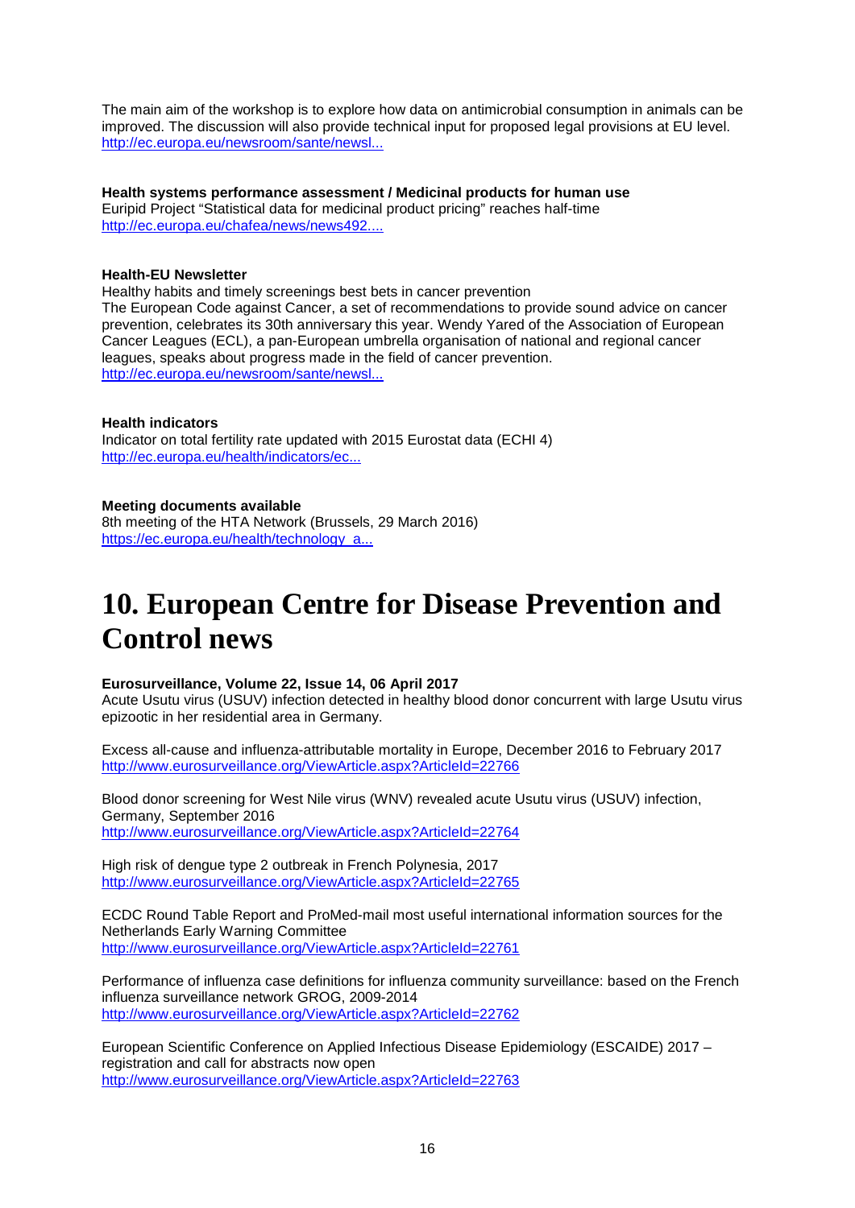The main aim of the workshop is to explore how data on antimicrobial consumption in animals can be improved. The discussion will also provide technical input for proposed legal provisions at EU level. [http://ec.europa.eu/newsroom/sante/newsl...](http://ec.europa.eu/newsroom/sante/newsletter-specific-archive-issue.cfm?newsletter_service_id=327&newsletter_issue_id=3345&page=1&fullDate=Wed%2026%20Apr%202017&lang=default)

**Health systems performance assessment / Medicinal products for human use**

Euripid Project "Statistical data for medicinal product pricing" reaches half-time [http://ec.europa.eu/chafea/news/news492....](http://ec.europa.eu/chafea/news/news492.html)

# **Health-EU Newsletter**

Healthy habits and timely screenings best bets in cancer prevention The European Code against Cancer, a set of recommendations to provide sound advice on cancer prevention, celebrates its 30th anniversary this year. Wendy Yared of the Association of European Cancer Leagues (ECL), a pan-European umbrella organisation of national and regional cancer leagues, speaks about progress made in the field of cancer prevention. [http://ec.europa.eu/newsroom/sante/newsl...](http://ec.europa.eu/newsroom/sante/newsletter-specific-archive-issue.cfm?newsletter_service_id=261&newsletter_issue_id=3212&page=1&fullDate=Tue%2004%20Jul%202017&lang=en)

# **Health indicators**

Indicator on total fertility rate updated with 2015 Eurostat data (ECHI 4) [http://ec.europa.eu/health/indicators/ec...](http://ec.europa.eu/health/indicators/echi/list_en%23id1)

# **Meeting documents available**

8th meeting of the HTA Network (Brussels, 29 March 2016) [https://ec.europa.eu/health/technology\\_a...](http://euphapedia.eupha.org/newsletter/https:/ec.europa.eu/health/technology_assessment/events/ev_20170329_en)

# <span id="page-15-0"></span>**10. European Centre for Disease Prevention and Control news**

# **Eurosurveillance, Volume 22, Issue 14, 06 April 2017**

Acute Usutu virus (USUV) infection detected in healthy blood donor concurrent with large Usutu virus epizootic in her residential area in Germany.

Excess all-cause and influenza-attributable mortality in Europe, December 2016 to February 2017 <http://www.eurosurveillance.org/ViewArticle.aspx?ArticleId=22766>

Blood donor screening for West Nile virus (WNV) revealed acute Usutu virus (USUV) infection, Germany, September 2016 <http://www.eurosurveillance.org/ViewArticle.aspx?ArticleId=22764>

High risk of dengue type 2 outbreak in French Polynesia, 2017 <http://www.eurosurveillance.org/ViewArticle.aspx?ArticleId=22765>

ECDC Round Table Report and ProMed-mail most useful international information sources for the Netherlands Early Warning Committee <http://www.eurosurveillance.org/ViewArticle.aspx?ArticleId=22761>

Performance of influenza case definitions for influenza community surveillance: based on the French influenza surveillance network GROG, 2009-2014 <http://www.eurosurveillance.org/ViewArticle.aspx?ArticleId=22762>

European Scientific Conference on Applied Infectious Disease Epidemiology (ESCAIDE) 2017 – registration and call for abstracts now open <http://www.eurosurveillance.org/ViewArticle.aspx?ArticleId=22763>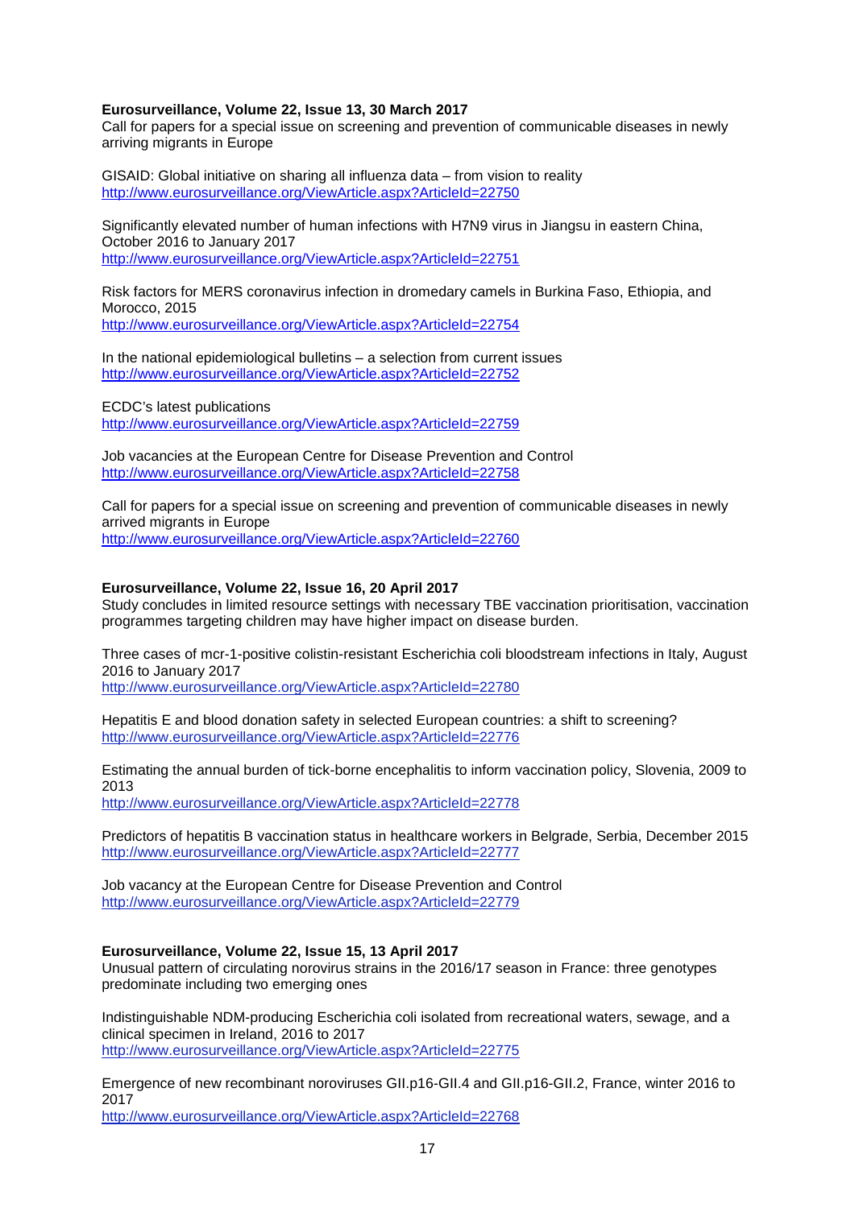#### **Eurosurveillance, Volume 22, Issue 13, 30 March 2017**

Call for papers for a special issue on screening and prevention of communicable diseases in newly arriving migrants in Europe

GISAID: Global initiative on sharing all influenza data – from vision to reality <http://www.eurosurveillance.org/ViewArticle.aspx?ArticleId=22750>

Significantly elevated number of human infections with H7N9 virus in Jiangsu in eastern China, October 2016 to January 2017 <http://www.eurosurveillance.org/ViewArticle.aspx?ArticleId=22751>

Risk factors for MERS coronavirus infection in dromedary camels in Burkina Faso, Ethiopia, and Morocco, 2015 <http://www.eurosurveillance.org/ViewArticle.aspx?ArticleId=22754>

In the national epidemiological bulletins – a selection from current issues <http://www.eurosurveillance.org/ViewArticle.aspx?ArticleId=22752>

ECDC's latest publications <http://www.eurosurveillance.org/ViewArticle.aspx?ArticleId=22759>

Job vacancies at the European Centre for Disease Prevention and Control <http://www.eurosurveillance.org/ViewArticle.aspx?ArticleId=22758>

Call for papers for a special issue on screening and prevention of communicable diseases in newly arrived migrants in Europe <http://www.eurosurveillance.org/ViewArticle.aspx?ArticleId=22760>

#### **Eurosurveillance, Volume 22, Issue 16, 20 April 2017**

Study concludes in limited resource settings with necessary TBE vaccination prioritisation, vaccination programmes targeting children may have higher impact on disease burden.

Three cases of mcr-1-positive colistin-resistant Escherichia coli bloodstream infections in Italy, August 2016 to January 2017

<http://www.eurosurveillance.org/ViewArticle.aspx?ArticleId=22780>

Hepatitis E and blood donation safety in selected European countries: a shift to screening? <http://www.eurosurveillance.org/ViewArticle.aspx?ArticleId=22776>

Estimating the annual burden of tick-borne encephalitis to inform vaccination policy, Slovenia, 2009 to 2013

<http://www.eurosurveillance.org/ViewArticle.aspx?ArticleId=22778>

Predictors of hepatitis B vaccination status in healthcare workers in Belgrade, Serbia, December 2015 <http://www.eurosurveillance.org/ViewArticle.aspx?ArticleId=22777>

Job vacancy at the European Centre for Disease Prevention and Control <http://www.eurosurveillance.org/ViewArticle.aspx?ArticleId=22779>

#### **Eurosurveillance, Volume 22, Issue 15, 13 April 2017**

Unusual pattern of circulating norovirus strains in the 2016/17 season in France: three genotypes predominate including two emerging ones

Indistinguishable NDM-producing Escherichia coli isolated from recreational waters, sewage, and a clinical specimen in Ireland, 2016 to 2017 <http://www.eurosurveillance.org/ViewArticle.aspx?ArticleId=22775>

Emergence of new recombinant noroviruses GII.p16-GII.4 and GII.p16-GII.2, France, winter 2016 to 2017

<http://www.eurosurveillance.org/ViewArticle.aspx?ArticleId=22768>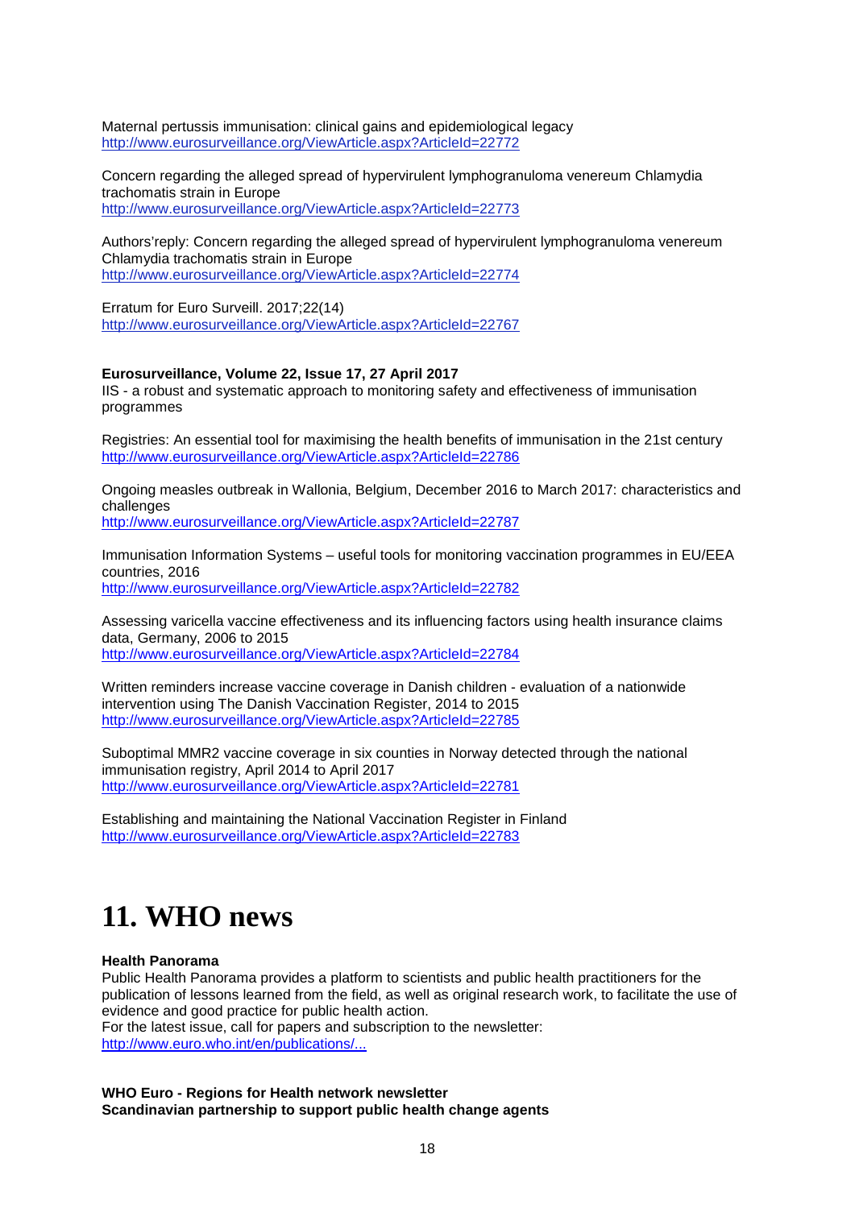Maternal pertussis immunisation: clinical gains and epidemiological legacy <http://www.eurosurveillance.org/ViewArticle.aspx?ArticleId=22772>

Concern regarding the alleged spread of hypervirulent lymphogranuloma venereum Chlamydia trachomatis strain in Europe <http://www.eurosurveillance.org/ViewArticle.aspx?ArticleId=22773>

Authors'reply: Concern regarding the alleged spread of hypervirulent lymphogranuloma venereum Chlamydia trachomatis strain in Europe <http://www.eurosurveillance.org/ViewArticle.aspx?ArticleId=22774>

Erratum for Euro Surveill. 2017;22(14) <http://www.eurosurveillance.org/ViewArticle.aspx?ArticleId=22767>

#### **Eurosurveillance, Volume 22, Issue 17, 27 April 2017**

IIS - a robust and systematic approach to monitoring safety and effectiveness of immunisation programmes

Registries: An essential tool for maximising the health benefits of immunisation in the 21st century <http://www.eurosurveillance.org/ViewArticle.aspx?ArticleId=22786>

Ongoing measles outbreak in Wallonia, Belgium, December 2016 to March 2017: characteristics and challenges

<http://www.eurosurveillance.org/ViewArticle.aspx?ArticleId=22787>

Immunisation Information Systems – useful tools for monitoring vaccination programmes in EU/EEA countries, 2016

<http://www.eurosurveillance.org/ViewArticle.aspx?ArticleId=22782>

Assessing varicella vaccine effectiveness and its influencing factors using health insurance claims data, Germany, 2006 to 2015 <http://www.eurosurveillance.org/ViewArticle.aspx?ArticleId=22784>

Written reminders increase vaccine coverage in Danish children - evaluation of a nationwide intervention using The Danish Vaccination Register, 2014 to 2015 <http://www.eurosurveillance.org/ViewArticle.aspx?ArticleId=22785>

Suboptimal MMR2 vaccine coverage in six counties in Norway detected through the national immunisation registry, April 2014 to April 2017 <http://www.eurosurveillance.org/ViewArticle.aspx?ArticleId=22781>

Establishing and maintaining the National Vaccination Register in Finland <http://www.eurosurveillance.org/ViewArticle.aspx?ArticleId=22783>

# <span id="page-17-0"></span>**11. WHO news**

#### **Health Panorama**

Public Health Panorama provides a platform to scientists and public health practitioners for the publication of lessons learned from the field, as well as original research work, to facilitate the use of evidence and good practice for public health action. For the latest issue, call for papers and subscription to the newsletter: [http://www.euro.who.int/en/publications/...](http://www.euro.who.int/en/publications/public-health-panorama)

**WHO Euro - Regions for Health network newsletter Scandinavian partnership to support public health change agents**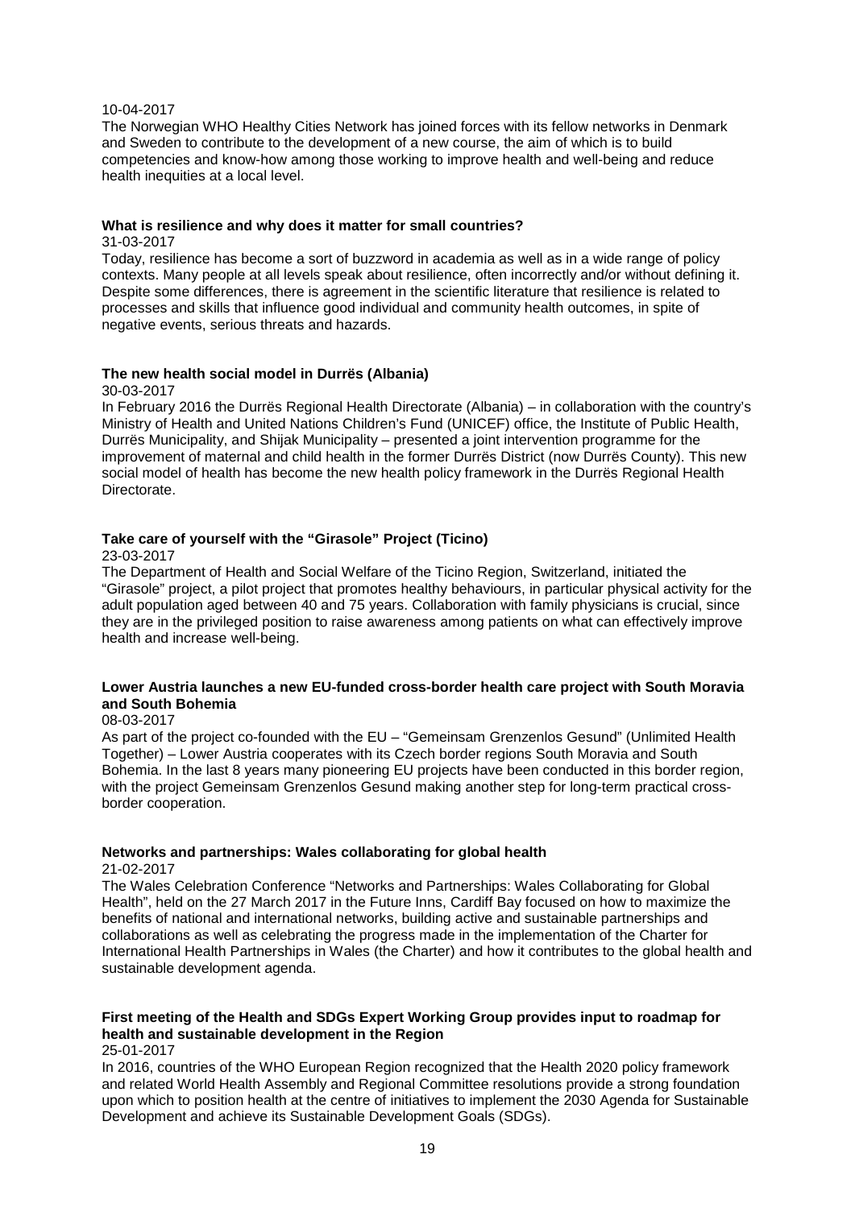#### 10-04-2017

The Norwegian WHO Healthy Cities Network has joined forces with its fellow networks in Denmark and Sweden to contribute to the development of a new course, the aim of which is to build competencies and know-how among those working to improve health and well-being and reduce health inequities at a local level.

#### **What is resilience and why does it matter for small countries?**

31-03-2017

Today, resilience has become a sort of buzzword in academia as well as in a wide range of policy contexts. Many people at all levels speak about resilience, often incorrectly and/or without defining it. Despite some differences, there is agreement in the scientific literature that resilience is related to processes and skills that influence good individual and community health outcomes, in spite of negative events, serious threats and hazards.

#### **The new health social model in Durrës (Albania)**

30-03-2017

In February 2016 the Durrës Regional Health Directorate (Albania) – in collaboration with the country's Ministry of Health and United Nations Children's Fund (UNICEF) office, the Institute of Public Health, Durrës Municipality, and Shijak Municipality – presented a joint intervention programme for the improvement of maternal and child health in the former Durrës District (now Durrës County). This new social model of health has become the new health policy framework in the Durrës Regional Health Directorate.

# **Take care of yourself with the "Girasole" Project (Ticino)**

23-03-2017

The Department of Health and Social Welfare of the Ticino Region, Switzerland, initiated the "Girasole" project, a pilot project that promotes healthy behaviours, in particular physical activity for the adult population aged between 40 and 75 years. Collaboration with family physicians is crucial, since they are in the privileged position to raise awareness among patients on what can effectively improve health and increase well-being.

#### **Lower Austria launches a new EU-funded cross-border health care project with South Moravia and South Bohemia**

08-03-2017

As part of the project co-founded with the EU – "Gemeinsam Grenzenlos Gesund" (Unlimited Health Together) – Lower Austria cooperates with its Czech border regions South Moravia and South Bohemia. In the last 8 years many pioneering EU projects have been conducted in this border region, with the project Gemeinsam Grenzenlos Gesund making another step for long-term practical crossborder cooperation.

#### **Networks and partnerships: Wales collaborating for global health**

21-02-2017

The Wales Celebration Conference "Networks and Partnerships: Wales Collaborating for Global Health", held on the 27 March 2017 in the Future Inns, Cardiff Bay focused on how to maximize the benefits of national and international networks, building active and sustainable partnerships and collaborations as well as celebrating the progress made in the implementation of the Charter for International Health Partnerships in Wales (the Charter) and how it contributes to the global health and sustainable development agenda.

# **First meeting of the Health and SDGs Expert Working Group provides input to roadmap for health and sustainable development in the Region**

25-01-2017

In 2016, countries of the WHO European Region recognized that the Health 2020 policy framework and related World Health Assembly and Regional Committee resolutions provide a strong foundation upon which to position health at the centre of initiatives to implement the 2030 Agenda for Sustainable Development and achieve its Sustainable Development Goals (SDGs).